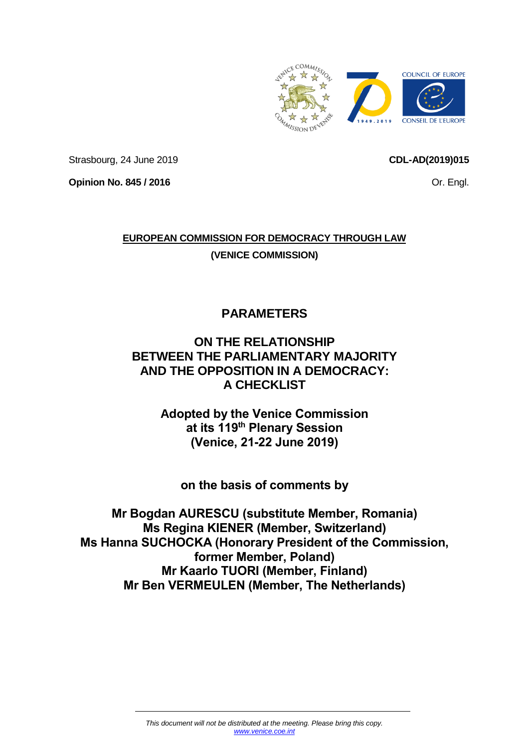

Strasbourg, 24 June 2019

<span id="page-0-0"></span>**CDL-AD(2019)015**

Or. Engl.

**Opinion No. 845 / 2016**

# **EUROPEAN COMMISSION FOR DEMOCRACY THROUGH LAW**

**(VENICE COMMISSION)**

**PARAMETERS** 

# **ON THE RELATIONSHIP BETWEEN THE PARLIAMENTARY MAJORITY AND THE OPPOSITION IN A DEMOCRACY: A CHECKLIST**

**Adopted by the Venice Commission at its 119th Plenary Session (Venice, 21-22 June 2019)**

**on the basis of comments by** 

**Mr Bogdan AURESCU (substitute Member, Romania) Ms Regina KIENER (Member, Switzerland) Ms Hanna SUCHOCKA (Honorary President of the Commission, former Member, Poland) Mr Kaarlo TUORI (Member, Finland) Mr Ben VERMEULEN (Member, The Netherlands)**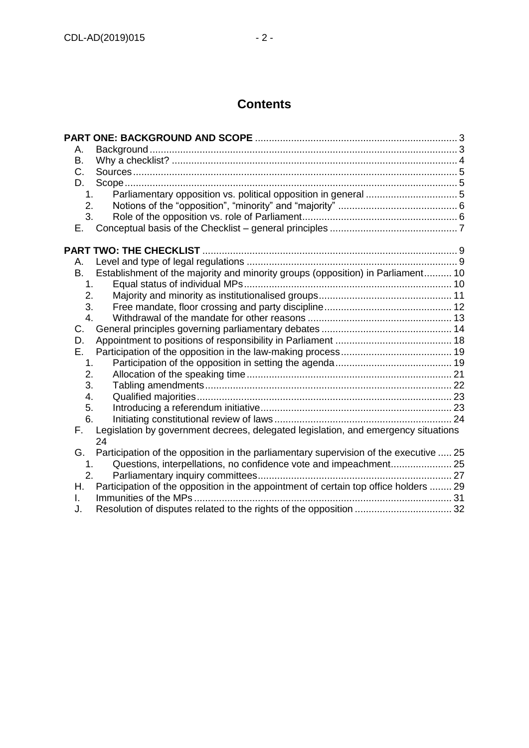# **Contents**

| А.             |                                                                                       |  |
|----------------|---------------------------------------------------------------------------------------|--|
| B.             |                                                                                       |  |
| C.             |                                                                                       |  |
| D.             |                                                                                       |  |
| 1.             |                                                                                       |  |
| 2.             |                                                                                       |  |
| 3.             |                                                                                       |  |
| Е.             |                                                                                       |  |
|                |                                                                                       |  |
| А.             |                                                                                       |  |
| B.             | Establishment of the majority and minority groups (opposition) in Parliament 10       |  |
| 1 <sub>1</sub> |                                                                                       |  |
| 2.             |                                                                                       |  |
| 3.             |                                                                                       |  |
| 4.             |                                                                                       |  |
| C.             |                                                                                       |  |
| D.             |                                                                                       |  |
| Е.             |                                                                                       |  |
| 1.             |                                                                                       |  |
| 2.             |                                                                                       |  |
| 3.             |                                                                                       |  |
| 4.             |                                                                                       |  |
| 5.             |                                                                                       |  |
| 6.             |                                                                                       |  |
| F.             | Legislation by government decrees, delegated legislation, and emergency situations    |  |
|                | 24                                                                                    |  |
| G.             | Participation of the opposition in the parliamentary supervision of the executive  25 |  |
| 1.             |                                                                                       |  |
| 2.             |                                                                                       |  |
| Н.             | Participation of the opposition in the appointment of certain top office holders  29  |  |
| L.             |                                                                                       |  |
| J.             |                                                                                       |  |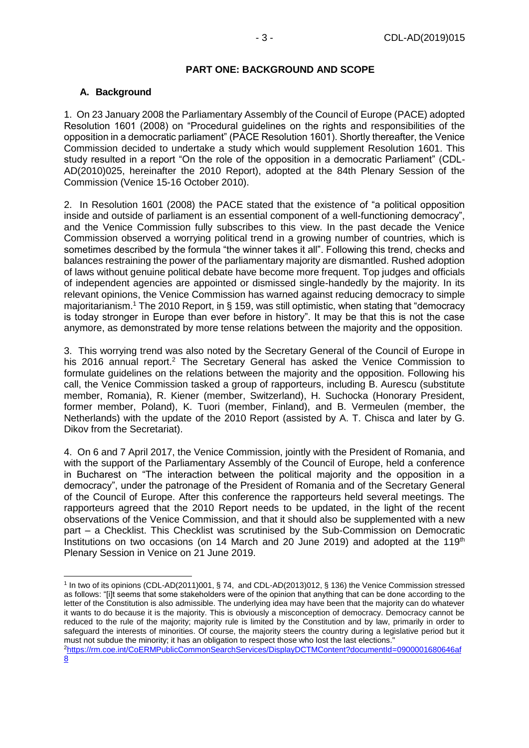### **PART ONE: BACKGROUND AND SCOPE**

# <span id="page-2-1"></span><span id="page-2-0"></span>**A. Background**

[8](https://rm.coe.int/CoERMPublicCommonSearchServices/DisplayDCTMContent?documentId=0900001680646af8)

1. On 23 January 2008 the Parliamentary Assembly of the Council of Europe (PACE) adopted Resolution 1601 (2008) on "Procedural guidelines on the rights and responsibilities of the opposition in a democratic parliament" (PACE Resolution 1601). Shortly thereafter, the Venice Commission decided to undertake a study which would supplement Resolution 1601. This study resulted in a report "On the role of the opposition in a democratic Parliament" (CDL-AD(2010)025, hereinafter the 2010 Report), adopted at the 84th Plenary Session of the Commission (Venice 15-16 October 2010).

2. In Resolution 1601 (2008) the PACE stated that the existence of "a political opposition inside and outside of parliament is an essential component of a well-functioning democracy", and the Venice Commission fully subscribes to this view. In the past decade the Venice Commission observed a worrying political trend in a growing number of countries, which is sometimes described by the formula "the winner takes it all". Following this trend, checks and balances restraining the power of the parliamentary majority are dismantled. Rushed adoption of laws without genuine political debate have become more frequent. Top judges and officials of independent agencies are appointed or dismissed single-handedly by the majority. In its relevant opinions, the Venice Commission has warned against reducing democracy to simple majoritarianism.<sup>1</sup> The 2010 Report, in § 159, was still optimistic, when stating that "democracy is today stronger in Europe than ever before in history". It may be that this is not the case anymore, as demonstrated by more tense relations between the majority and the opposition.

3. This worrying trend was also noted by the Secretary General of the Council of Europe in his 2016 annual report.<sup>2</sup> The Secretary General has asked the Venice Commission to formulate guidelines on the relations between the majority and the opposition. Following his call, the Venice Commission tasked a group of rapporteurs, including B. Aurescu (substitute member, Romania), R. Kiener (member, Switzerland), H. Suchocka (Honorary President, former member, Poland), K. Tuori (member, Finland), and B. Vermeulen (member, the Netherlands) with the update of the 2010 Report (assisted by A. T. Chisca and later by G. Dikov from the Secretariat).

4. On 6 and 7 April 2017, the Venice Commission, jointly with the President of Romania, and with the support of the Parliamentary Assembly of the Council of Europe, held a conference in Bucharest on "The interaction between the political majority and the opposition in a democracy", under the patronage of the President of Romania and of the Secretary General of the Council of Europe. After this conference the rapporteurs held several meetings. The rapporteurs agreed that the 2010 Report needs to be updated, in the light of the recent observations of the Venice Commission, and that it should also be supplemented with a new part – a Checklist. This Checklist was scrutinised by the Sub-Commission on Democratic Institutions on two occasions (on 14 March and 20 June 2019) and adopted at the  $119<sup>th</sup>$ Plenary Session in Venice on 21 June 2019.

<sup>-</sup>1 In two of its opinions (CDL-AD(2011)001, § 74, and CDL-AD(2013)012, § 136) the Venice Commission stressed as follows: "[i]t seems that some stakeholders were of the opinion that anything that can be done according to the letter of the Constitution is also admissible. The underlying idea may have been that the majority can do whatever it wants to do because it is the majority. This is obviously a misconception of democracy. Democracy cannot be reduced to the rule of the majority; majority rule is limited by the Constitution and by law, primarily in order to safeguard the interests of minorities. Of course, the majority steers the country during a legislative period but it must not subdue the minority; it has an obligation to respect those who lost the last elections." <sup>2</sup>[https://rm.coe.int/CoERMPublicCommonSearchServices/DisplayDCTMContent?documentId=0900001680646af](https://rm.coe.int/CoERMPublicCommonSearchServices/DisplayDCTMContent?documentId=0900001680646af8)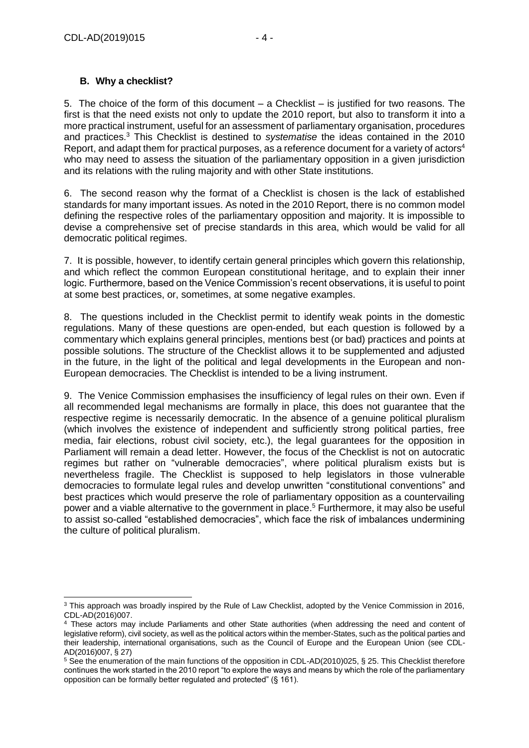# <span id="page-3-0"></span>**B. Why a checklist?**

5. The choice of the form of this document – a Checklist – is justified for two reasons. The first is that the need exists not only to update the 2010 report, but also to transform it into a more practical instrument, useful for an assessment of parliamentary organisation, procedures and practices.<sup>3</sup> This Checklist is destined to *systematise* the ideas contained in the 2010 Report, and adapt them for practical purposes, as a reference document for a variety of actors<sup>4</sup> who may need to assess the situation of the parliamentary opposition in a given jurisdiction and its relations with the ruling majority and with other State institutions.

6. The second reason why the format of a Checklist is chosen is the lack of established standards for many important issues. As noted in the 2010 Report, there is no common model defining the respective roles of the parliamentary opposition and majority. It is impossible to devise a comprehensive set of precise standards in this area, which would be valid for all democratic political regimes.

7. It is possible, however, to identify certain general principles which govern this relationship, and which reflect the common European constitutional heritage, and to explain their inner logic. Furthermore, based on the Venice Commission's recent observations, it is useful to point at some best practices, or, sometimes, at some negative examples.

8. The questions included in the Checklist permit to identify weak points in the domestic regulations. Many of these questions are open-ended, but each question is followed by a commentary which explains general principles, mentions best (or bad) practices and points at possible solutions. The structure of the Checklist allows it to be supplemented and adjusted in the future, in the light of the political and legal developments in the European and non-European democracies. The Checklist is intended to be a living instrument.

9. The Venice Commission emphasises the insufficiency of legal rules on their own. Even if all recommended legal mechanisms are formally in place, this does not guarantee that the respective regime is necessarily democratic. In the absence of a genuine political pluralism (which involves the existence of independent and sufficiently strong political parties, free media, fair elections, robust civil society, etc.), the legal guarantees for the opposition in Parliament will remain a dead letter. However, the focus of the Checklist is not on autocratic regimes but rather on "vulnerable democracies", where political pluralism exists but is nevertheless fragile. The Checklist is supposed to help legislators in those vulnerable democracies to formulate legal rules and develop unwritten "constitutional conventions" and best practices which would preserve the role of parliamentary opposition as a countervailing power and a viable alternative to the government in place. <sup>5</sup> Furthermore, it may also be useful to assist so-called "established democracies", which face the risk of imbalances undermining the culture of political pluralism.

<sup>-</sup><sup>3</sup> This approach was broadly inspired by the Rule of Law Checklist, adopted by the Venice Commission in 2016, CDL-AD(2016)007.

<sup>4</sup> These actors may include Parliaments and other State authorities (when addressing the need and content of legislative reform), civil society, as well as the political actors within the member-States, such as the political parties and their leadership, international organisations, such as the Council of Europe and the European Union (see CDL-AD(2016)007, § 27)

<sup>5</sup> See the enumeration of the main functions of the opposition in CDL-AD(2010)025, § 25. This Checklist therefore continues the work started in the 2010 report "to explore the ways and means by which the role of the parliamentary opposition can be formally better regulated and protected" (§ 161).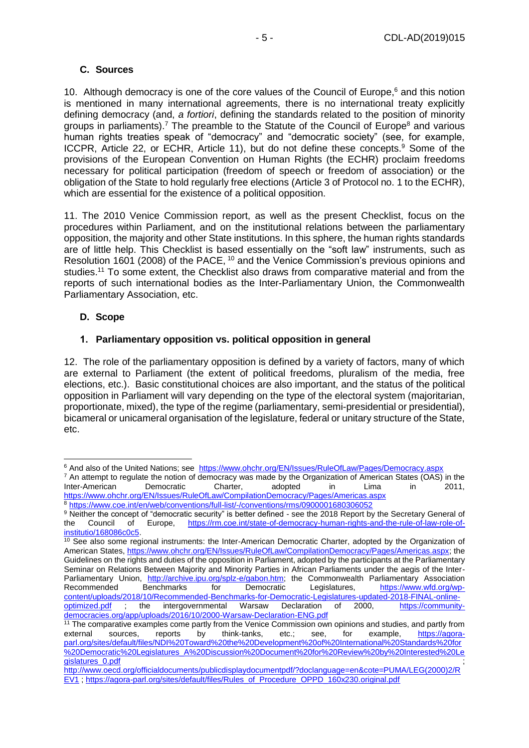## <span id="page-4-0"></span>**C. Sources**

10. Although democracy is one of the core values of the Council of Europe, $6$  and this notion is mentioned in many international agreements, there is no international treaty explicitly defining democracy (and, *a fortiori*, defining the standards related to the position of minority groups in parliaments).<sup>7</sup> The preamble to the Statute of the Council of Europe<sup>8</sup> and various human rights treaties speak of "democracy" and "democratic society" (see, for example, ICCPR, Article 22, or ECHR, Article 11), but do not define these concepts.<sup>9</sup> Some of the provisions of the European Convention on Human Rights (the ECHR) proclaim freedoms necessary for political participation (freedom of speech or freedom of association) or the obligation of the State to hold regularly free elections (Article 3 of Protocol no. 1 to the ECHR), which are essential for the existence of a political opposition.

11. The 2010 Venice Commission report, as well as the present Checklist, focus on the procedures within Parliament, and on the institutional relations between the parliamentary opposition, the majority and other State institutions. In this sphere, the human rights standards are of little help. This Checklist is based essentially on the "soft law" instruments, such as Resolution 1601 (2008) of the PACE, <sup>10</sup> and the Venice Commission's previous opinions and studies.<sup>11</sup> To some extent, the Checklist also draws from comparative material and from the reports of such international bodies as the Inter-Parliamentary Union, the Commonwealth Parliamentary Association, etc.

## <span id="page-4-1"></span>**D. Scope**

## <span id="page-4-2"></span>**1. Parliamentary opposition vs. political opposition in general**

12. The role of the parliamentary opposition is defined by a variety of factors, many of which are external to Parliament (the extent of political freedoms, pluralism of the media, free elections, etc.). Basic constitutional choices are also important, and the status of the political opposition in Parliament will vary depending on the type of the electoral system (majoritarian, proportionate, mixed), the type of the regime (parliamentary, semi-presidential or presidential), bicameral or unicameral organisation of the legislature, federal or unitary structure of the State, etc.

<sup>6</sup> And also of the United Nations; see <https://www.ohchr.org/EN/Issues/RuleOfLaw/Pages/Democracy.aspx>

<sup>7</sup> An attempt to regulate the notion of democracy was made by the Organization of American States (OAS) in the Inter-American Democratic Charter, adopted in Lima in 2011, <https://www.ohchr.org/EN/Issues/RuleOfLaw/CompilationDemocracy/Pages/Americas.aspx>

<sup>8</sup> <https://www.coe.int/en/web/conventions/full-list/-/conventions/rms/0900001680306052>

<sup>9</sup> Neither the concept of "democratic security" is better defined - see the 2018 Report by the Secretary General of the Council of Europe, [https://rm.coe.int/state-of-democracy-human-rights-and-the-rule-of-law-role-of](https://rm.coe.int/state-of-democracy-human-rights-and-the-rule-of-law-role-of-institutio/168086c0c5)[institutio/168086c0c5.](https://rm.coe.int/state-of-democracy-human-rights-and-the-rule-of-law-role-of-institutio/168086c0c5)

<sup>&</sup>lt;sup>10</sup> See also some regional instruments: the Inter-American Democratic Charter, adopted by the Organization of American States, [https://www.ohchr.org/EN/Issues/RuleOfLaw/CompilationDemocracy/Pages/Americas.aspx;](https://www.ohchr.org/EN/Issues/RuleOfLaw/CompilationDemocracy/Pages/Americas.aspx) the Guidelines on the rights and duties of the opposition in Parliament, adopted by the participants at the Parliamentary Seminar on Relations Between Majority and Minority Parties in African Parliaments under the aegis of the Inter-Parliamentary Union, [http://archive.ipu.org/splz-e/gabon.htm;](http://archive.ipu.org/splz-e/gabon.htm) the Commonwealth Parliamentary Association Recommended Benchmarks for Democratic Legislatures, [https://www.wfd.org/wp](https://www.wfd.org/wp-content/uploads/2018/10/Recommended-Benchmarks-for-Democratic-Legislatures-updated-2018-FINAL-online-optimized.pdf)[content/uploads/2018/10/Recommended-Benchmarks-for-Democratic-Legislatures-updated-2018-FINAL-online](https://www.wfd.org/wp-content/uploads/2018/10/Recommended-Benchmarks-for-Democratic-Legislatures-updated-2018-FINAL-online-optimized.pdf)[optimized.pdf](https://www.wfd.org/wp-content/uploads/2018/10/Recommended-Benchmarks-for-Democratic-Legislatures-updated-2018-FINAL-online-optimized.pdf) ; the intergovernmental Warsaw Declaration of 2000, [https://community](https://community-democracies.org/app/uploads/2016/10/2000-Warsaw-Declaration-ENG.pdf)[democracies.org/app/uploads/2016/10/2000-Warsaw-Declaration-ENG.pdf](https://community-democracies.org/app/uploads/2016/10/2000-Warsaw-Declaration-ENG.pdf)

 $11$  The comparative examples come partly from the Venice Commission own opinions and studies, and partly from external sources, reports by think-tanks, etc.; see, for example, [https://agora](https://agora-parl.org/sites/default/files/NDI%20Toward%20the%20Development%20of%20International%20Standards%20for%20Democratic%20Legislatures_A%20Discussion%20Document%20for%20Review%20by%20Interested%20Legislatures_0.pdf)[parl.org/sites/default/files/NDI%20Toward%20the%20Development%20of%20International%20Standards%20for](https://agora-parl.org/sites/default/files/NDI%20Toward%20the%20Development%20of%20International%20Standards%20for%20Democratic%20Legislatures_A%20Discussion%20Document%20for%20Review%20by%20Interested%20Legislatures_0.pdf) [%20Democratic%20Legislatures\\_A%20Discussion%20Document%20for%20Review%20by%20Interested%20Le](https://agora-parl.org/sites/default/files/NDI%20Toward%20the%20Development%20of%20International%20Standards%20for%20Democratic%20Legislatures_A%20Discussion%20Document%20for%20Review%20by%20Interested%20Legislatures_0.pdf) [gislatures\\_0.pdf](https://agora-parl.org/sites/default/files/NDI%20Toward%20the%20Development%20of%20International%20Standards%20for%20Democratic%20Legislatures_A%20Discussion%20Document%20for%20Review%20by%20Interested%20Legislatures_0.pdf)

[http://www.oecd.org/officialdocuments/publicdisplaydocumentpdf/?doclanguage=en&cote=PUMA/LEG\(2000\)2/R](http://www.oecd.org/officialdocuments/publicdisplaydocumentpdf/?doclanguage=en&cote=PUMA/LEG(2000)2/REV1) [EV1](http://www.oecd.org/officialdocuments/publicdisplaydocumentpdf/?doclanguage=en&cote=PUMA/LEG(2000)2/REV1) [; https://agora-parl.org/sites/default/files/Rules\\_of\\_Procedure\\_OPPD\\_160x230.original.pdf](https://agora-parl.org/sites/default/files/Rules_of_Procedure_OPPD_160x230.original.pdf)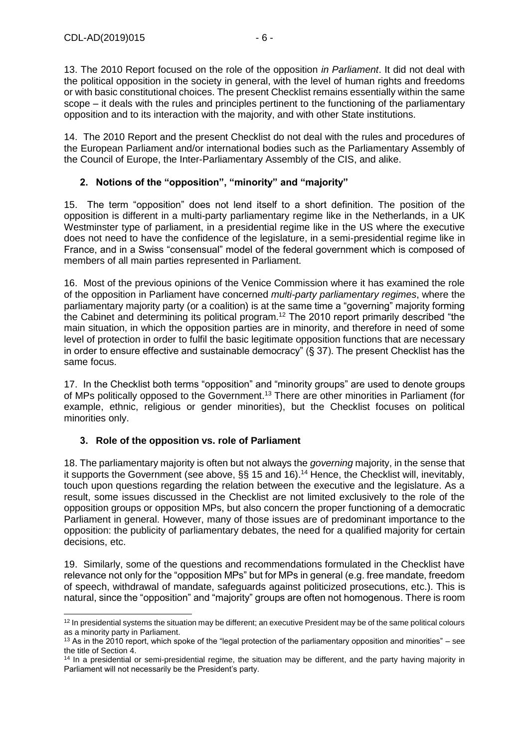13. The 2010 Report focused on the role of the opposition *in Parliament*. It did not deal with the political opposition in the society in general, with the level of human rights and freedoms or with basic constitutional choices. The present Checklist remains essentially within the same scope – it deals with the rules and principles pertinent to the functioning of the parliamentary opposition and to its interaction with the majority, and with other State institutions.

14. The 2010 Report and the present Checklist do not deal with the rules and procedures of the European Parliament and/or international bodies such as the Parliamentary Assembly of the Council of Europe, the Inter-Parliamentary Assembly of the CIS, and alike.

# <span id="page-5-0"></span>**2. Notions of the "opposition", "minority" and "majority"**

15. The term "opposition" does not lend itself to a short definition. The position of the opposition is different in a multi-party parliamentary regime like in the Netherlands, in a UK Westminster type of parliament, in a presidential regime like in the US where the executive does not need to have the confidence of the legislature, in a semi-presidential regime like in France, and in a Swiss "consensual" model of the federal government which is composed of members of all main parties represented in Parliament.

16. Most of the previous opinions of the Venice Commission where it has examined the role of the opposition in Parliament have concerned *multi-party parliamentary regimes*, where the parliamentary majority party (or a coalition) is at the same time a "governing" majority forming the Cabinet and determining its political program.<sup>12</sup> The 2010 report primarily described "the main situation, in which the opposition parties are in minority, and therefore in need of some level of protection in order to fulfil the basic legitimate opposition functions that are necessary in order to ensure effective and sustainable democracy" (§ 37). The present Checklist has the same focus.

17. In the Checklist both terms "opposition" and "minority groups" are used to denote groups of MPs politically opposed to the Government.<sup>13</sup> There are other minorities in Parliament (for example, ethnic, religious or gender minorities), but the Checklist focuses on political minorities only.

### <span id="page-5-1"></span>**3. Role of the opposition vs. role of Parliament**

18. The parliamentary majority is often but not always the *governing* majority, in the sense that it supports the Government (see above, §§ 15 and 16). <sup>14</sup> Hence, the Checklist will, inevitably, touch upon questions regarding the relation between the executive and the legislature. As a result, some issues discussed in the Checklist are not limited exclusively to the role of the opposition groups or opposition MPs, but also concern the proper functioning of a democratic Parliament in general. However, many of those issues are of predominant importance to the opposition: the publicity of parliamentary debates, the need for a qualified majority for certain decisions, etc.

19. Similarly, some of the questions and recommendations formulated in the Checklist have relevance not only for the "opposition MPs" but for MPs in general (e.g. free mandate, freedom of speech, withdrawal of mandate, safeguards against politicized prosecutions, etc.). This is natural, since the "opposition" and "majority" groups are often not homogenous. There is room

<sup>-</sup> $12$  In presidential systems the situation may be different; an executive President may be of the same political colours as a minority party in Parliament.

 $13$  As in the 2010 report, which spoke of the "legal protection of the parliamentary opposition and minorities" – see the title of Section 4.

<sup>&</sup>lt;sup>14</sup> In a presidential or semi-presidential regime, the situation may be different, and the party having majority in Parliament will not necessarily be the President's party.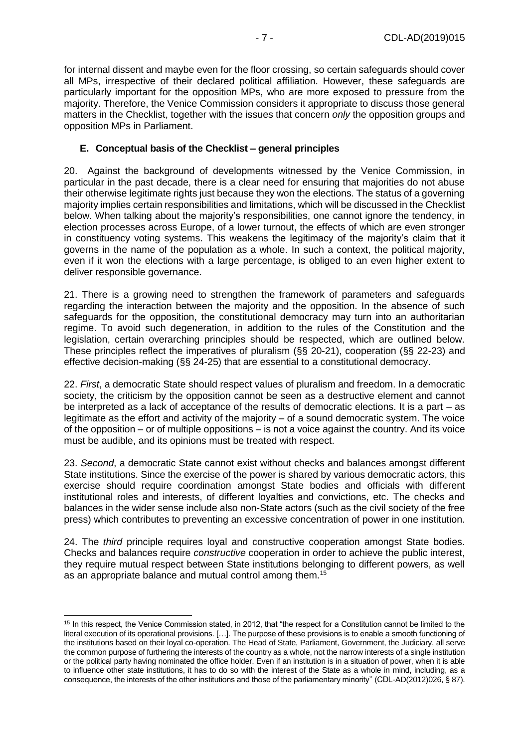for internal dissent and maybe even for the floor crossing, so certain safeguards should cover all MPs, irrespective of their declared political affiliation. However, these safeguards are particularly important for the opposition MPs, who are more exposed to pressure from the majority. Therefore, the Venice Commission considers it appropriate to discuss those general matters in the Checklist, together with the issues that concern *only* the opposition groups and opposition MPs in Parliament.

#### <span id="page-6-0"></span>**E. Conceptual basis of the Checklist – general principles**

20. Against the background of developments witnessed by the Venice Commission, in particular in the past decade, there is a clear need for ensuring that majorities do not abuse their otherwise legitimate rights just because they won the elections. The status of a governing majority implies certain responsibilities and limitations, which will be discussed in the Checklist below. When talking about the majority's responsibilities, one cannot ignore the tendency, in election processes across Europe, of a lower turnout, the effects of which are even stronger in constituency voting systems. This weakens the legitimacy of the majority's claim that it governs in the name of the population as a whole. In such a context, the political majority, even if it won the elections with a large percentage, is obliged to an even higher extent to deliver responsible governance.

21. There is a growing need to strengthen the framework of parameters and safeguards regarding the interaction between the majority and the opposition. In the absence of such safeguards for the opposition, the constitutional democracy may turn into an authoritarian regime. To avoid such degeneration, in addition to the rules of the Constitution and the legislation, certain overarching principles should be respected, which are outlined below. These principles reflect the imperatives of pluralism (§§ 20-21), cooperation (§§ 22-23) and effective decision-making (§§ 24-25) that are essential to a constitutional democracy.

22. *First*, a democratic State should respect values of pluralism and freedom. In a democratic society, the criticism by the opposition cannot be seen as a destructive element and cannot be interpreted as a lack of acceptance of the results of democratic elections. It is a part – as legitimate as the effort and activity of the majority – of a sound democratic system. The voice of the opposition – or of multiple oppositions – is not a voice against the country. And its voice must be audible, and its opinions must be treated with respect.

23. *Second*, a democratic State cannot exist without checks and balances amongst different State institutions. Since the exercise of the power is shared by various democratic actors, this exercise should require coordination amongst State bodies and officials with different institutional roles and interests, of different loyalties and convictions, etc. The checks and balances in the wider sense include also non-State actors (such as the civil society of the free press) which contributes to preventing an excessive concentration of power in one institution.

24. The *third* principle requires loyal and constructive cooperation amongst State bodies. Checks and balances require *constructive* cooperation in order to achieve the public interest, they require mutual respect between State institutions belonging to different powers, as well as an appropriate balance and mutual control among them.<sup>15</sup>

<sup>&</sup>lt;sup>15</sup> In this respect, the Venice Commission stated, in 2012, that "the respect for a Constitution cannot be limited to the literal execution of its operational provisions. […]. The purpose of these provisions is to enable a smooth functioning of the institutions based on their loyal co-operation. The Head of State, Parliament, Government, the Judiciary, all serve the common purpose of furthering the interests of the country as a whole, not the narrow interests of a single institution or the political party having nominated the office holder. Even if an institution is in a situation of power, when it is able to influence other state institutions, it has to do so with the interest of the State as a whole in mind, including, as a consequence, the interests of the other institutions and those of the parliamentary minority'' (CDL-AD(2012)026, § 87).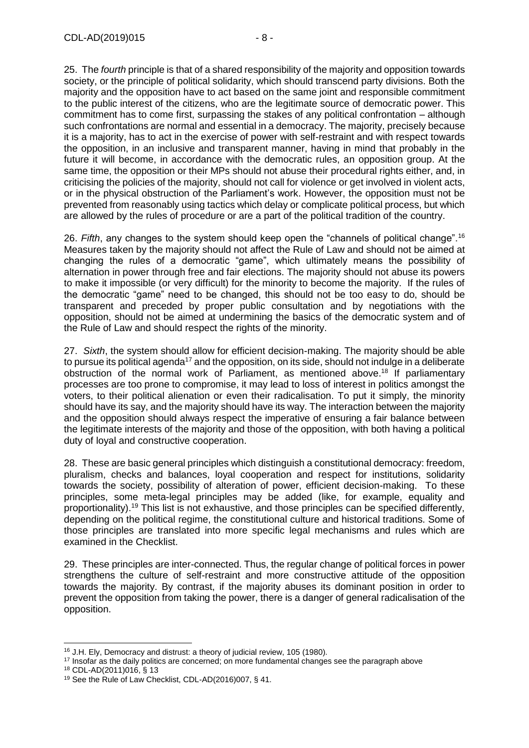25. The *fourth* principle is that of a shared responsibility of the majority and opposition towards society, or the principle of political solidarity, which should transcend party divisions. Both the majority and the opposition have to act based on the same joint and responsible commitment to the public interest of the citizens, who are the legitimate source of democratic power. This commitment has to come first, surpassing the stakes of any political confrontation – although such confrontations are normal and essential in a democracy. The majority, precisely because it is a majority, has to act in the exercise of power with self-restraint and with respect towards the opposition, in an inclusive and transparent manner, having in mind that probably in the future it will become, in accordance with the democratic rules, an opposition group. At the same time, the opposition or their MPs should not abuse their procedural rights either, and, in criticising the policies of the majority, should not call for violence or get involved in violent acts, or in the physical obstruction of the Parliament's work. However, the opposition must not be prevented from reasonably using tactics which delay or complicate political process, but which are allowed by the rules of procedure or are a part of the political tradition of the country.

26. *Fifth*, any changes to the system should keep open the "channels of political change".<sup>16</sup> Measures taken by the majority should not affect the Rule of Law and should not be aimed at changing the rules of a democratic "game", which ultimately means the possibility of alternation in power through free and fair elections. The majority should not abuse its powers to make it impossible (or very difficult) for the minority to become the majority. If the rules of the democratic "game" need to be changed, this should not be too easy to do, should be transparent and preceded by proper public consultation and by negotiations with the opposition, should not be aimed at undermining the basics of the democratic system and of the Rule of Law and should respect the rights of the minority.

27. *Sixth*, the system should allow for efficient decision-making. The majority should be able to pursue its political agenda<sup>17</sup> and the opposition, on its side, should not indulge in a deliberate obstruction of the normal work of Parliament, as mentioned above. <sup>18</sup> If parliamentary processes are too prone to compromise, it may lead to loss of interest in politics amongst the voters, to their political alienation or even their radicalisation. To put it simply, the minority should have its say, and the majority should have its way. The interaction between the majority and the opposition should always respect the imperative of ensuring a fair balance between the legitimate interests of the majority and those of the opposition, with both having a political duty of loyal and constructive cooperation.

28. These are basic general principles which distinguish a constitutional democracy: freedom, pluralism, checks and balances, loyal cooperation and respect for institutions, solidarity towards the society, possibility of alteration of power, efficient decision-making. To these principles, some meta-legal principles may be added (like, for example, equality and proportionality).<sup>19</sup> This list is not exhaustive, and those principles can be specified differently, depending on the political regime, the constitutional culture and historical traditions. Some of those principles are translated into more specific legal mechanisms and rules which are examined in the Checklist.

29. These principles are inter-connected. Thus, the regular change of political forces in power strengthens the culture of self-restraint and more constructive attitude of the opposition towards the majority. By contrast, if the majority abuses its dominant position in order to prevent the opposition from taking the power, there is a danger of general radicalisation of the opposition.

<sup>-</sup><sup>16</sup> J.H. Ely, Democracy and distrust: a theory of judicial review, 105 (1980).

<sup>&</sup>lt;sup>17</sup> Insofar as the daily politics are concerned; on more fundamental changes see the paragraph above

<sup>18</sup> CDL-AD(2011)016, § 13

<sup>19</sup> See the Rule of Law Checklist, CDL-AD(2016)007, § 41.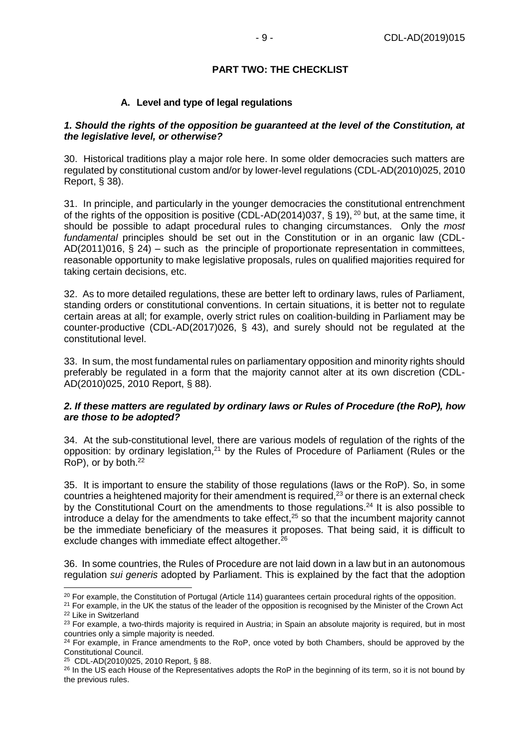#### **PART TWO: THE CHECKLIST**

#### **A. Level and type of legal regulations**

#### <span id="page-8-1"></span><span id="page-8-0"></span>*1. Should the rights of the opposition be guaranteed at the level of the Constitution, at the legislative level, or otherwise?*

30. Historical traditions play a major role here. In some older democracies such matters are regulated by constitutional custom and/or by lower-level regulations (CDL-AD(2010)025, 2010 Report, § 38).

31. In principle, and particularly in the younger democracies the constitutional entrenchment of the rights of the opposition is positive (CDL-AD(2014)037, § 19), <sup>20</sup> but, at the same time, it should be possible to adapt procedural rules to changing circumstances. Only the *most fundamental* principles should be set out in the Constitution or in an organic law (CDL-AD(2011)016, § 24) – such as the principle of proportionate representation in committees, reasonable opportunity to make legislative proposals, rules on qualified majorities required for taking certain decisions, etc.

32. As to more detailed regulations, these are better left to ordinary laws, rules of Parliament, standing orders or constitutional conventions. In certain situations, it is better not to regulate certain areas at all; for example, overly strict rules on coalition-building in Parliament may be counter-productive (CDL-AD(2017)026, § 43), and surely should not be regulated at the constitutional level.

33. In sum, the most fundamental rules on parliamentary opposition and minority rights should preferably be regulated in a form that the majority cannot alter at its own discretion (CDL-AD(2010)025, 2010 Report, § 88).

#### *2. If these matters are regulated by ordinary laws or Rules of Procedure (the RoP), how are those to be adopted?*

34. At the sub-constitutional level, there are various models of regulation of the rights of the opposition: by ordinary legislation,<sup>21</sup> by the Rules of Procedure of Parliament (Rules or the RoP), or by both.<sup>22</sup>

35. It is important to ensure the stability of those regulations (laws or the RoP). So, in some countries a heightened majority for their amendment is required, $23$  or there is an external check by the Constitutional Court on the amendments to those regulations.<sup>24</sup> It is also possible to  $int$  introduce a delay for the amendments to take effect, $25$  so that the incumbent majority cannot be the immediate beneficiary of the measures it proposes. That being said, it is difficult to exclude changes with immediate effect altogether.<sup>26</sup>

36. In some countries, the Rules of Procedure are not laid down in a law but in an autonomous regulation *sui generis* adopted by Parliament. This is explained by the fact that the adoption

 $20$  For example, the Constitution of Portugal (Article 114) guarantees certain procedural rights of the opposition.

<sup>&</sup>lt;sup>21</sup> For example, in the UK the status of the leader of the opposition is recognised by the Minister of the Crown Act <sup>22</sup> Like in Switzerland

<sup>&</sup>lt;sup>23</sup> For example, a two-thirds majority is required in Austria; in Spain an absolute majority is required, but in most countries only a simple majority is needed.

<sup>&</sup>lt;sup>24</sup> For example, in France amendments to the RoP, once voted by both Chambers, should be approved by the Constitutional Council.

<sup>25</sup> CDL-AD(2010)025, 2010 Report, § 88.

<sup>&</sup>lt;sup>26</sup> In the US each House of the Representatives adopts the RoP in the beginning of its term, so it is not bound by the previous rules.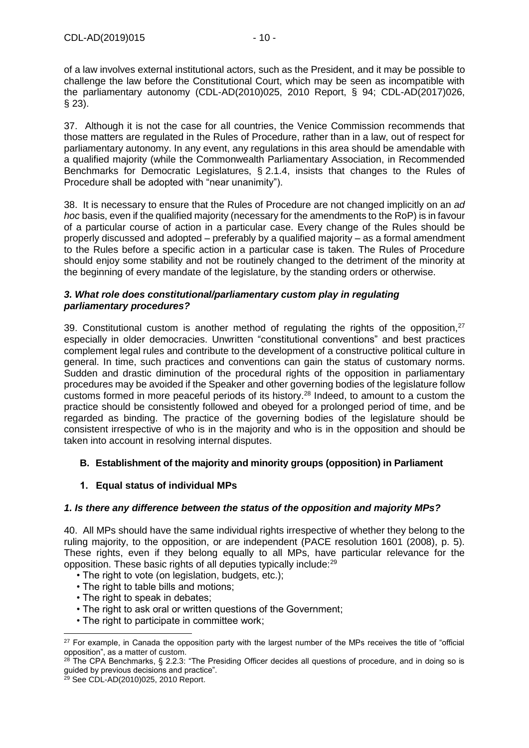of a law involves external institutional actors, such as the President, and it may be possible to challenge the law before the Constitutional Court, which may be seen as incompatible with the parliamentary autonomy (CDL-AD(2010)025, 2010 Report, § 94; CDL-AD(2017)026, § 23).

37. Although it is not the case for all countries, the Venice Commission recommends that those matters are regulated in the Rules of Procedure, rather than in a law, out of respect for parliamentary autonomy. In any event, any regulations in this area should be amendable with a qualified majority (while the Commonwealth Parliamentary Association, in Recommended Benchmarks for Democratic Legislatures, § 2.1.4, insists that changes to the Rules of Procedure shall be adopted with "near unanimity").

38. It is necessary to ensure that the Rules of Procedure are not changed implicitly on an *ad hoc* basis, even if the qualified majority (necessary for the amendments to the RoP) is in favour of a particular course of action in a particular case. Every change of the Rules should be properly discussed and adopted – preferably by a qualified majority – as a formal amendment to the Rules before a specific action in a particular case is taken. The Rules of Procedure should enjoy some stability and not be routinely changed to the detriment of the minority at the beginning of every mandate of the legislature, by the standing orders or otherwise.

### *3. What role does constitutional/parliamentary custom play in regulating parliamentary procedures?*

39. Constitutional custom is another method of requiating the rights of the opposition.<sup>27</sup> especially in older democracies. Unwritten "constitutional conventions" and best practices complement legal rules and contribute to the development of a constructive political culture in general. In time, such practices and conventions can gain the status of customary norms. Sudden and drastic diminution of the procedural rights of the opposition in parliamentary procedures may be avoided if the Speaker and other governing bodies of the legislature follow customs formed in more peaceful periods of its history.<sup>28</sup> Indeed, to amount to a custom the practice should be consistently followed and obeyed for a prolonged period of time, and be regarded as binding. The practice of the governing bodies of the legislature should be consistent irrespective of who is in the majority and who is in the opposition and should be taken into account in resolving internal disputes.

# <span id="page-9-0"></span>**B. Establishment of the majority and minority groups (opposition) in Parliament**

# <span id="page-9-1"></span>**1. Equal status of individual MPs**

# *1. Is there any difference between the status of the opposition and majority MPs?*

40. All MPs should have the same individual rights irrespective of whether they belong to the ruling majority, to the opposition, or are independent (PACE resolution 1601 (2008), p. 5). These rights, even if they belong equally to all MPs, have particular relevance for the opposition. These basic rights of all deputies typically include:<sup>29</sup>

- The right to vote (on legislation, budgets, etc.);
- The right to table bills and motions;
- The right to speak in debates;
- The right to ask oral or written questions of the Government;
- The right to participate in committee work;

 $27$  For example, in Canada the opposition party with the largest number of the MPs receives the title of "official opposition", as a matter of custom.

 $28$  The CPA Benchmarks, § 2.2.3: "The Presiding Officer decides all questions of procedure, and in doing so is guided by previous decisions and practice".

<sup>29</sup> See CDL-AD(2010)025, 2010 Report.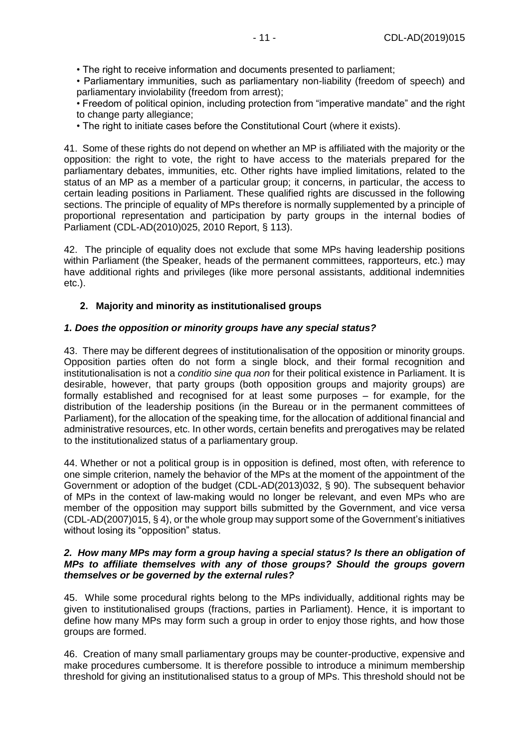• Parliamentary immunities, such as parliamentary non-liability (freedom of speech) and parliamentary inviolability (freedom from arrest);

• Freedom of political opinion, including protection from "imperative mandate" and the right to change party allegiance;

• The right to initiate cases before the Constitutional Court (where it exists).

41. Some of these rights do not depend on whether an MP is affiliated with the majority or the opposition: the right to vote, the right to have access to the materials prepared for the parliamentary debates, immunities, etc. Other rights have implied limitations, related to the status of an MP as a member of a particular group; it concerns, in particular, the access to certain leading positions in Parliament. These qualified rights are discussed in the following sections. The principle of equality of MPs therefore is normally supplemented by a principle of proportional representation and participation by party groups in the internal bodies of Parliament (CDL-AD(2010)025, 2010 Report, § 113).

42. The principle of equality does not exclude that some MPs having leadership positions within Parliament (the Speaker, heads of the permanent committees, rapporteurs, etc.) may have additional rights and privileges (like more personal assistants, additional indemnities etc.).

## <span id="page-10-0"></span>**2. Majority and minority as institutionalised groups**

## *1. Does the opposition or minority groups have any special status?*

43. There may be different degrees of institutionalisation of the opposition or minority groups. Opposition parties often do not form a single block, and their formal recognition and institutionalisation is not a *conditio sine qua non* for their political existence in Parliament. It is desirable, however, that party groups (both opposition groups and majority groups) are formally established and recognised for at least some purposes – for example, for the distribution of the leadership positions (in the Bureau or in the permanent committees of Parliament), for the allocation of the speaking time, for the allocation of additional financial and administrative resources, etc. In other words, certain benefits and prerogatives may be related to the institutionalized status of a parliamentary group.

44. Whether or not a political group is in opposition is defined, most often, with reference to one simple criterion, namely the behavior of the MPs at the moment of the appointment of the Government or adoption of the budget (CDL-AD(2013)032, § 90). The subsequent behavior of MPs in the context of law-making would no longer be relevant, and even MPs who are member of the opposition may support bills submitted by the Government, and vice versa (CDL-AD(2007)015, § 4), or the whole group may support some of the Government's initiatives without losing its "opposition" status.

#### *2. How many MPs may form a group having a special status? Is there an obligation of MPs to affiliate themselves with any of those groups? Should the groups govern themselves or be governed by the external rules?*

45. While some procedural rights belong to the MPs individually, additional rights may be given to institutionalised groups (fractions, parties in Parliament). Hence, it is important to define how many MPs may form such a group in order to enjoy those rights, and how those groups are formed.

46. Creation of many small parliamentary groups may be counter-productive, expensive and make procedures cumbersome. It is therefore possible to introduce a minimum membership threshold for giving an institutionalised status to a group of MPs. This threshold should not be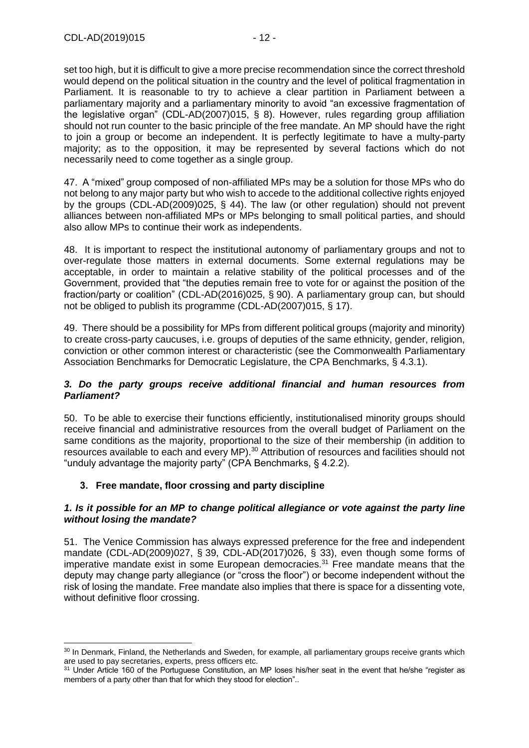set too high, but it is difficult to give a more precise recommendation since the correct threshold would depend on the political situation in the country and the level of political fragmentation in Parliament. It is reasonable to try to achieve a clear partition in Parliament between a parliamentary majority and a parliamentary minority to avoid "an excessive fragmentation of the legislative organ" (CDL-AD(2007)015, § 8). However, rules regarding group affiliation should not run counter to the basic principle of the free mandate. An MP should have the right to join a group or become an independent. It is perfectly legitimate to have a multy-party majority; as to the opposition, it may be represented by several factions which do not necessarily need to come together as a single group.

47. A "mixed" group composed of non-affiliated MPs may be a solution for those MPs who do not belong to any major party but who wish to accede to the additional collective rights enjoyed by the groups (CDL-AD(2009)025, § 44). The law (or other regulation) should not prevent alliances between non-affiliated MPs or MPs belonging to small political parties, and should also allow MPs to continue their work as independents.

48. It is important to respect the institutional autonomy of parliamentary groups and not to over-regulate those matters in external documents. Some external regulations may be acceptable, in order to maintain a relative stability of the political processes and of the Government, provided that "the deputies remain free to vote for or against the position of the fraction/party or coalition" (CDL-AD(2016)025, § 90). A parliamentary group can, but should not be obliged to publish its programme (CDL-AD(2007)015, § 17).

49. There should be a possibility for MPs from different political groups (majority and minority) to create cross-party caucuses, i.e. groups of deputies of the same ethnicity, gender, religion, conviction or other common interest or characteristic (see the Commonwealth Parliamentary Association Benchmarks for Democratic Legislature, the CPA Benchmarks, § 4.3.1).

### *3. Do the party groups receive additional financial and human resources from Parliament?*

50. To be able to exercise their functions efficiently, institutionalised minority groups should receive financial and administrative resources from the overall budget of Parliament on the same conditions as the majority, proportional to the size of their membership (in addition to resources available to each and every MP).<sup>30</sup> Attribution of resources and facilities should not "unduly advantage the majority party" (CPA Benchmarks, § 4.2.2).

# <span id="page-11-0"></span>**3. Free mandate, floor crossing and party discipline**

### *1. Is it possible for an MP to change political allegiance or vote against the party line without losing the mandate?*

51. The Venice Commission has always expressed preference for the free and independent mandate (CDL-AD(2009)027, § 39, CDL-AD(2017)026, § 33), even though some forms of imperative mandate exist in some European democracies. $31$  Free mandate means that the deputy may change party allegiance (or "cross the floor") or become independent without the risk of losing the mandate. Free mandate also implies that there is space for a dissenting vote, without definitive floor crossing.

<sup>-</sup><sup>30</sup> In Denmark, Finland, the Netherlands and Sweden, for example, all parliamentary groups receive grants which are used to pay secretaries, experts, press officers etc.

<sup>31</sup> Under Article 160 of the Portuguese Constitution, an MP loses his/her seat in the event that he/she "register as members of a party other than that for which they stood for election"..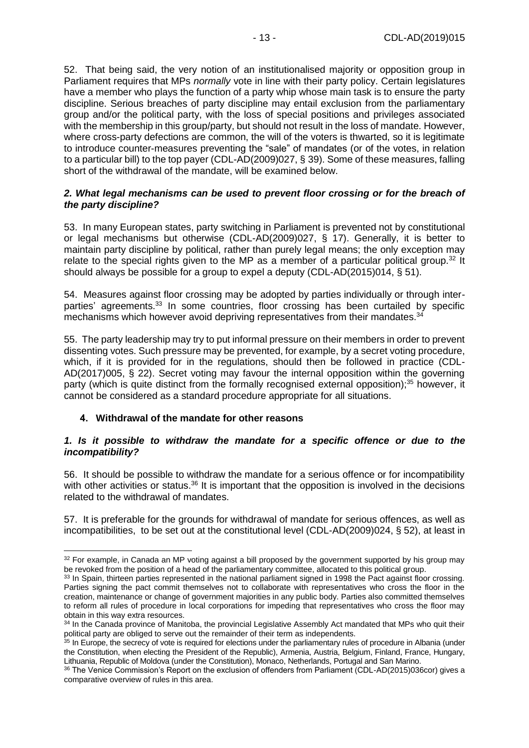52. That being said, the very notion of an institutionalised majority or opposition group in Parliament requires that MPs *normally* vote in line with their party policy. Certain legislatures have a member who plays the function of a party whip whose main task is to ensure the party discipline. Serious breaches of party discipline may entail exclusion from the parliamentary group and/or the political party, with the loss of special positions and privileges associated with the membership in this group/party, but should not result in the loss of mandate. However, where cross-party defections are common, the will of the voters is thwarted, so it is legitimate to introduce counter-measures preventing the "sale" of mandates (or of the votes, in relation to a particular bill) to the top payer (CDL-AD(2009)027, § 39). Some of these measures, falling short of the withdrawal of the mandate, will be examined below.

### *2. What legal mechanisms can be used to prevent floor crossing or for the breach of the party discipline?*

53. In many European states, party switching in Parliament is prevented not by constitutional or legal mechanisms but otherwise (CDL-AD(2009)027, § 17). Generally, it is better to maintain party discipline by political, rather than purely legal means; the only exception may relate to the special rights given to the MP as a member of a particular political group.<sup>32</sup> It should always be possible for a group to expel a deputy (CDL-AD(2015)014, § 51).

54. Measures against floor crossing may be adopted by parties individually or through interparties' agreements.<sup>33</sup> In some countries, floor crossing has been curtailed by specific mechanisms which however avoid depriving representatives from their mandates.<sup>34</sup>

55. The party leadership may try to put informal pressure on their members in order to prevent dissenting votes. Such pressure may be prevented, for example, by a secret voting procedure, which, if it is provided for in the regulations, should then be followed in practice (CDL-AD(2017)005, § 22). Secret voting may favour the internal opposition within the governing party (which is quite distinct from the formally recognised external opposition); $35$  however, it cannot be considered as a standard procedure appropriate for all situations.

# <span id="page-12-0"></span>**4. Withdrawal of the mandate for other reasons**

-

### *1. Is it possible to withdraw the mandate for a specific offence or due to the incompatibility?*

56. It should be possible to withdraw the mandate for a serious offence or for incompatibility with other activities or status.<sup>36</sup> It is important that the opposition is involved in the decisions related to the withdrawal of mandates.

57. It is preferable for the grounds for withdrawal of mandate for serious offences, as well as incompatibilities, to be set out at the constitutional level (CDL-AD(2009)024, § 52), at least in

<sup>&</sup>lt;sup>32</sup> For example, in Canada an MP voting against a bill proposed by the government supported by his group may be revoked from the position of a head of the parliamentary committee, allocated to this political group.

<sup>&</sup>lt;sup>33</sup> In Spain, thirteen parties represented in the national parliament signed in 1998 the Pact against floor crossing. Parties signing the pact commit themselves not to collaborate with representatives who cross the floor in the creation, maintenance or change of government majorities in any public body. Parties also committed themselves to reform all rules of procedure in local corporations for impeding that representatives who cross the floor may obtain in this way extra resources.

<sup>34</sup> In the Canada province of Manitoba, the provincial Legislative Assembly Act mandated that MPs who quit their political party are obliged to serve out the remainder of their term as independents.

<sup>&</sup>lt;sup>35</sup> In Europe, the secrecy of vote is required for elections under the parliamentary rules of procedure in Albania (under the Constitution, when electing the President of the Republic), Armenia, Austria, Belgium, Finland, France, Hungary, Lithuania, Republic of Moldova (under the Constitution), Monaco, Netherlands, Portugal and San Marino.

<sup>36</sup> The Venice Commission's Report on the exclusion of offenders from Parliament (CDL-AD(2015)036cor) gives a comparative overview of rules in this area.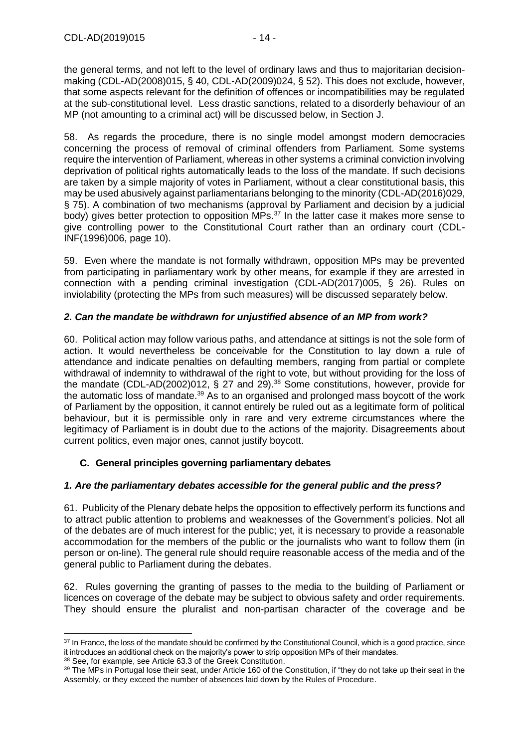the general terms, and not left to the level of ordinary laws and thus to majoritarian decisionmaking (CDL-AD(2008)015, § 40, CDL-AD(2009)024, § 52). This does not exclude, however, that some aspects relevant for the definition of offences or incompatibilities may be regulated at the sub-constitutional level. Less drastic sanctions, related to a disorderly behaviour of an MP (not amounting to a criminal act) will be discussed below, in Section J.

58. As regards the procedure, there is no single model amongst modern democracies concerning the process of removal of criminal offenders from Parliament. Some systems require the intervention of Parliament, whereas in other systems a criminal conviction involving deprivation of political rights automatically leads to the loss of the mandate. If such decisions are taken by a simple majority of votes in Parliament, without a clear constitutional basis, this may be used abusively against parliamentarians belonging to the minority (CDL-AD(2016)029, § 75). A combination of two mechanisms (approval by Parliament and decision by a judicial body) gives better protection to opposition MPs.<sup>37</sup> In the latter case it makes more sense to give controlling power to the Constitutional Court rather than an ordinary court (CDL-INF(1996)006, page 10).

59. Even where the mandate is not formally withdrawn, opposition MPs may be prevented from participating in parliamentary work by other means, for example if they are arrested in connection with a pending criminal investigation (CDL-AD(2017)005, § 26). Rules on inviolability (protecting the MPs from such measures) will be discussed separately below.

## *2. Can the mandate be withdrawn for unjustified absence of an MP from work?*

60. Political action may follow various paths, and attendance at sittings is not the sole form of action. It would nevertheless be conceivable for the Constitution to lay down a rule of attendance and indicate penalties on defaulting members, ranging from partial or complete withdrawal of indemnity to withdrawal of the right to vote, but without providing for the loss of the mandate (CDL-AD(2002)012, § 27 and 29). $38$  Some constitutions, however, provide for the automatic loss of mandate.<sup>39</sup> As to an organised and prolonged mass boycott of the work of Parliament by the opposition, it cannot entirely be ruled out as a legitimate form of political behaviour, but it is permissible only in rare and very extreme circumstances where the legitimacy of Parliament is in doubt due to the actions of the majority. Disagreements about current politics, even major ones, cannot justify boycott.

# <span id="page-13-0"></span>**C. General principles governing parliamentary debates**

### *1. Are the parliamentary debates accessible for the general public and the press?*

61. Publicity of the Plenary debate helps the opposition to effectively perform its functions and to attract public attention to problems and weaknesses of the Government's policies. Not all of the debates are of much interest for the public; yet, it is necessary to provide a reasonable accommodation for the members of the public or the journalists who want to follow them (in person or on-line). The general rule should require reasonable access of the media and of the general public to Parliament during the debates.

62. Rules governing the granting of passes to the media to the building of Parliament or licences on coverage of the debate may be subject to obvious safety and order requirements. They should ensure the pluralist and non-partisan character of the coverage and be

<sup>&</sup>lt;sup>37</sup> In France, the loss of the mandate should be confirmed by the Constitutional Council, which is a good practice, since it introduces an additional check on the majority's power to strip opposition MPs of their mandates.

<sup>38</sup> See, for example, see Article 63.3 of the Greek Constitution.

<sup>&</sup>lt;sup>39</sup> The MPs in Portugal lose their seat, under Article 160 of the Constitution, if "they do not take up their seat in the Assembly, or they exceed the number of absences laid down by the Rules of Procedure.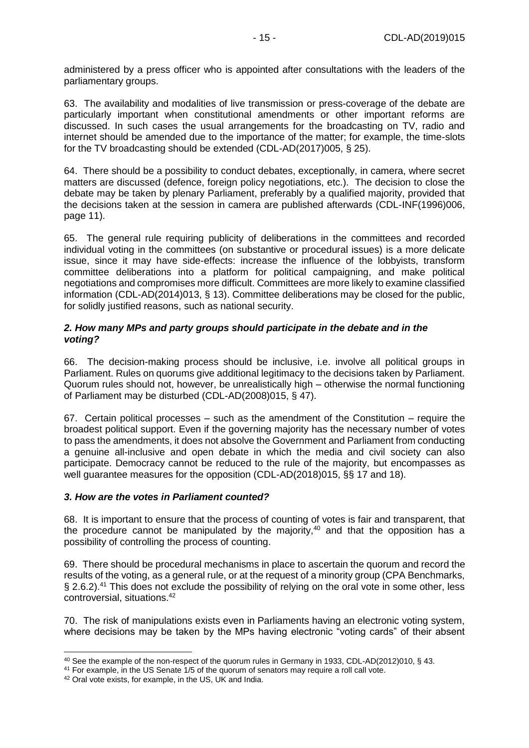administered by a press officer who is appointed after consultations with the leaders of the parliamentary groups.

63. The availability and modalities of live transmission or press-coverage of the debate are particularly important when constitutional amendments or other important reforms are discussed. In such cases the usual arrangements for the broadcasting on TV, radio and internet should be amended due to the importance of the matter; for example, the time-slots for the TV broadcasting should be extended (CDL-AD(2017)005, § 25).

64. There should be a possibility to conduct debates, exceptionally, in camera, where secret matters are discussed (defence, foreign policy negotiations, etc.). The decision to close the debate may be taken by plenary Parliament, preferably by a qualified majority, provided that the decisions taken at the session in camera are published afterwards (CDL-INF(1996)006, page 11).

65. The general rule requiring publicity of deliberations in the committees and recorded individual voting in the committees (on substantive or procedural issues) is a more delicate issue, since it may have side-effects: increase the influence of the lobbyists, transform committee deliberations into a platform for political campaigning, and make political negotiations and compromises more difficult. Committees are more likely to examine classified information (CDL-AD(2014)013, § 13). Committee deliberations may be closed for the public, for solidly justified reasons, such as national security.

### *2. How many MPs and party groups should participate in the debate and in the voting?*

66. The decision-making process should be inclusive, i.e. involve all political groups in Parliament. Rules on quorums give additional legitimacy to the decisions taken by Parliament. Quorum rules should not, however, be unrealistically high – otherwise the normal functioning of Parliament may be disturbed (CDL-AD(2008)015, § 47).

67. Certain political processes – such as the amendment of the Constitution – require the broadest political support. Even if the governing majority has the necessary number of votes to pass the amendments, it does not absolve the Government and Parliament from conducting a genuine all-inclusive and open debate in which the media and civil society can also participate. Democracy cannot be reduced to the rule of the majority, but encompasses as well guarantee measures for the opposition (CDL-AD(2018)015, §§ 17 and 18).

### *3. How are the votes in Parliament counted?*

68. It is important to ensure that the process of counting of votes is fair and transparent, that the procedure cannot be manipulated by the majority,  $40$  and that the opposition has a possibility of controlling the process of counting.

69. There should be procedural mechanisms in place to ascertain the quorum and record the results of the voting, as a general rule, or at the request of a minority group (CPA Benchmarks, § 2.6.2).<sup>41</sup> This does not exclude the possibility of relying on the oral vote in some other, less controversial, situations.<sup>42</sup>

70. The risk of manipulations exists even in Parliaments having an electronic voting system, where decisions may be taken by the MPs having electronic "voting cards" of their absent

<sup>40</sup> See the example of the non-respect of the quorum rules in Germany in 1933, CDL-AD(2012)010, § 43.

<sup>&</sup>lt;sup>41</sup> For example, in the US Senate 1/5 of the quorum of senators may require a roll call vote.

<sup>42</sup> Oral vote exists, for example, in the US, UK and India.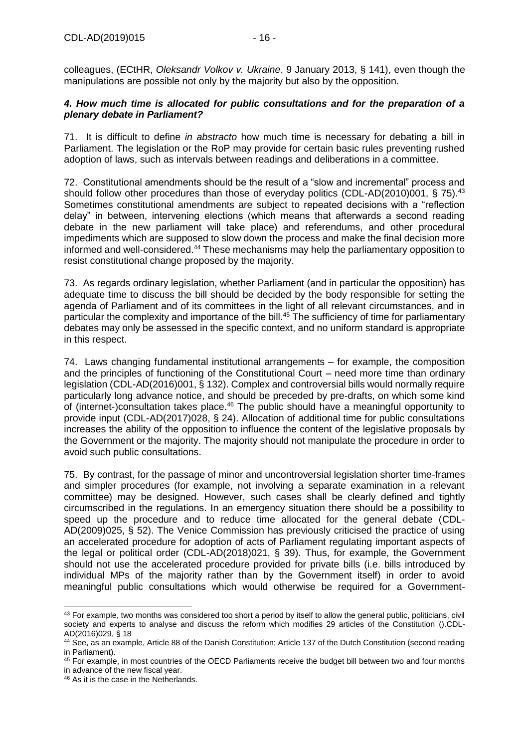colleagues, (ECtHR, *Oleksandr Volkov v. Ukraine*, 9 January 2013, § 141), even though the manipulations are possible not only by the majority but also by the opposition.

### *4. How much time is allocated for public consultations and for the preparation of a plenary debate in Parliament?*

71. It is difficult to define *in abstracto* how much time is necessary for debating a bill in Parliament. The legislation or the RoP may provide for certain basic rules preventing rushed adoption of laws, such as intervals between readings and deliberations in a committee.

72. Constitutional amendments should be the result of a "slow and incremental" process and should follow other procedures than those of everyday politics (CDL-AD(2010)001, § 75).<sup>43</sup> Sometimes constitutional amendments are subject to repeated decisions with a "reflection delay" in between, intervening elections (which means that afterwards a second reading debate in the new parliament will take place) and referendums, and other procedural impediments which are supposed to slow down the process and make the final decision more informed and well-considered.<sup>44</sup> These mechanisms may help the parliamentary opposition to resist constitutional change proposed by the majority.

73. As regards ordinary legislation, whether Parliament (and in particular the opposition) has adequate time to discuss the bill should be decided by the body responsible for setting the agenda of Parliament and of its committees in the light of all relevant circumstances, and in particular the complexity and importance of the bill.<sup>45</sup> The sufficiency of time for parliamentary debates may only be assessed in the specific context, and no uniform standard is appropriate in this respect.

74. Laws changing fundamental institutional arrangements – for example, the composition and the principles of functioning of the Constitutional Court – need more time than ordinary legislation (CDL-AD(2016)001, § 132). Complex and controversial bills would normally require particularly long advance notice, and should be preceded by pre-drafts, on which some kind of (internet-)consultation takes place.<sup>46</sup> The public should have a meaningful opportunity to provide input (CDL-AD(2017)028, § 24). Allocation of additional time for public consultations increases the ability of the opposition to influence the content of the legislative proposals by the Government or the majority. The majority should not manipulate the procedure in order to avoid such public consultations.

75. By contrast, for the passage of minor and uncontroversial legislation shorter time-frames and simpler procedures (for example, not involving a separate examination in a relevant committee) may be designed. However, such cases shall be clearly defined and tightly circumscribed in the regulations. In an emergency situation there should be a possibility to speed up the procedure and to reduce time allocated for the general debate (CDL-AD(2009)025, § 52). The Venice Commission has previously criticised the practice of using an accelerated procedure for adoption of acts of Parliament regulating important aspects of the legal or political order (CDL-AD(2018)021, § 39). Thus, for example, the Government should not use the accelerated procedure provided for private bills (i.e. bills introduced by individual MPs of the majority rather than by the Government itself) in order to avoid meaningful public consultations which would otherwise be required for a Government-

<sup>&</sup>lt;sup>43</sup> For example, two months was considered too short a period by itself to allow the general public, politicians, civil society and experts to analyse and discuss the reform which modifies 29 articles of the Constitution ().CDL-AD(2016)029, § 18

<sup>44</sup> See, as an example, Article 88 of the Danish Constitution; Article 137 of the Dutch Constitution (second reading in Parliament).

<sup>45</sup> For example, in most countries of the OECD Parliaments receive the budget bill between two and four months in advance of the new fiscal year.

<sup>46</sup> As it is the case in the Netherlands.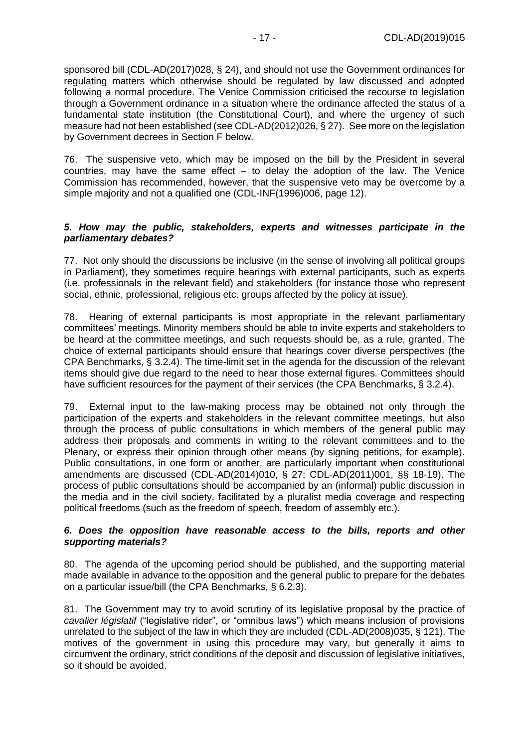sponsored bill (CDL-AD(2017)028, § 24), and should not use the Government ordinances for regulating matters which otherwise should be regulated by law discussed and adopted following a normal procedure. The Venice Commission criticised the recourse to legislation through a Government ordinance in a situation where the ordinance affected the status of a fundamental state institution (the Constitutional Court), and where the urgency of such measure had not been established (see CDL-AD(2012)026, § 27). See more on the legislation by Government decrees in Section F below.

76. The suspensive veto, which may be imposed on the bill by the President in several countries, may have the same effect – to delay the adoption of the law. The Venice Commission has recommended, however, that the suspensive veto may be overcome by a simple majority and not a qualified one (CDL-INF(1996)006, page 12).

#### *5. How may the public, stakeholders, experts and witnesses participate in the parliamentary debates?*

77. Not only should the discussions be inclusive (in the sense of involving all political groups in Parliament), they sometimes require hearings with external participants, such as experts (i.e. professionals in the relevant field) and stakeholders (for instance those who represent social, ethnic, professional, religious etc. groups affected by the policy at issue).

78. Hearing of external participants is most appropriate in the relevant parliamentary committees' meetings. Minority members should be able to invite experts and stakeholders to be heard at the committee meetings, and such requests should be, as a rule, granted. The choice of external participants should ensure that hearings cover diverse perspectives (the CPA Benchmarks, § 3.2.4). The time-limit set in the agenda for the discussion of the relevant items should give due regard to the need to hear those external figures. Committees should have sufficient resources for the payment of their services (the CPA Benchmarks, § 3.2.4).

79. External input to the law-making process may be obtained not only through the participation of the experts and stakeholders in the relevant committee meetings, but also through the process of public consultations in which members of the general public may address their proposals and comments in writing to the relevant committees and to the Plenary, or express their opinion through other means (by signing petitions, for example). Public consultations, in one form or another, are particularly important when constitutional amendments are discussed (CDL-AD(2014)010, § 27; CDL-AD(2011)001, §§ 18-19). The process of public consultations should be accompanied by an (informal) public discussion in the media and in the civil society, facilitated by a pluralist media coverage and respecting political freedoms (such as the freedom of speech, freedom of assembly etc.).

#### *6. Does the opposition have reasonable access to the bills, reports and other supporting materials?*

80. The agenda of the upcoming period should be published, and the supporting material made available in advance to the opposition and the general public to prepare for the debates on a particular issue/bill (the CPA Benchmarks, § 6.2.3).

81. The Government may try to avoid scrutiny of its legislative proposal by the practice of *cavalier législatif* ("legislative rider", or "omnibus laws") which means inclusion of provisions unrelated to the subject of the law in which they are included (CDL-AD(2008)035, § 121). The motives of the government in using this procedure may vary, but generally it aims to circumvent the ordinary, strict conditions of the deposit and discussion of legislative initiatives, so it should be avoided.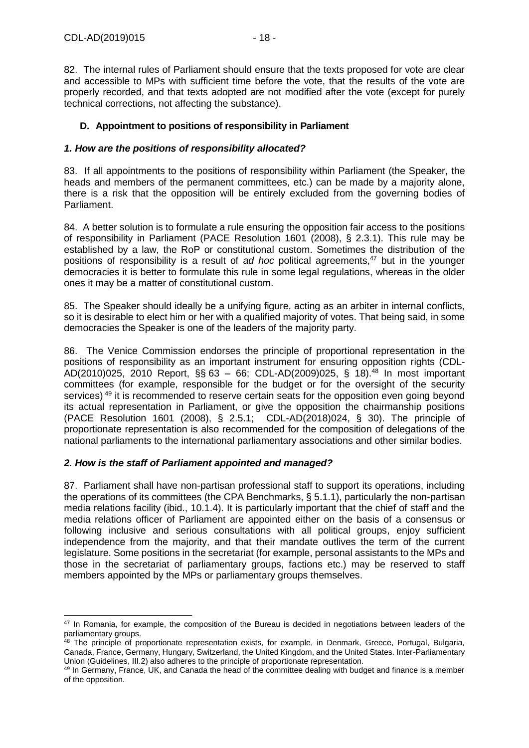82. The internal rules of Parliament should ensure that the texts proposed for vote are clear and accessible to MPs with sufficient time before the vote, that the results of the vote are properly recorded, and that texts adopted are not modified after the vote (except for purely technical corrections, not affecting the substance).

# <span id="page-17-0"></span>**D. Appointment to positions of responsibility in Parliament**

### *1. How are the positions of responsibility allocated?*

83. If all appointments to the positions of responsibility within Parliament (the Speaker, the heads and members of the permanent committees, etc.) can be made by a majority alone, there is a risk that the opposition will be entirely excluded from the governing bodies of Parliament.

84. A better solution is to formulate a rule ensuring the opposition fair access to the positions of responsibility in Parliament (PACE Resolution 1601 (2008), § 2.3.1). This rule may be established by a law, the RoP or constitutional custom. Sometimes the distribution of the positions of responsibility is a result of *ad hoc* political agreements,<sup>47</sup> but in the younger democracies it is better to formulate this rule in some legal regulations, whereas in the older ones it may be a matter of constitutional custom.

85. The Speaker should ideally be a unifying figure, acting as an arbiter in internal conflicts, so it is desirable to elect him or her with a qualified majority of votes. That being said, in some democracies the Speaker is one of the leaders of the majority party.

86. The Venice Commission endorses the principle of proportional representation in the positions of responsibility as an important instrument for ensuring opposition rights (CDL-AD(2010)025, 2010 Report, §§ 63 – 66; CDL-AD(2009)025, § 18).<sup>48</sup> In most important committees (for example, responsible for the budget or for the oversight of the security services) <sup>49</sup> it is recommended to reserve certain seats for the opposition even going beyond its actual representation in Parliament, or give the opposition the chairmanship positions (PACE Resolution 1601 (2008), § 2.5.1; CDL-AD(2018)024, § 30). The principle of proportionate representation is also recommended for the composition of delegations of the national parliaments to the international parliamentary associations and other similar bodies.

### *2. How is the staff of Parliament appointed and managed?*

87. Parliament shall have non-partisan professional staff to support its operations, including the operations of its committees (the CPA Benchmarks, § 5.1.1), particularly the non-partisan media relations facility (ibid., 10.1.4). It is particularly important that the chief of staff and the media relations officer of Parliament are appointed either on the basis of a consensus or following inclusive and serious consultations with all political groups, enjoy sufficient independence from the majority, and that their mandate outlives the term of the current legislature. Some positions in the secretariat (for example, personal assistants to the MPs and those in the secretariat of parliamentary groups, factions etc.) may be reserved to staff members appointed by the MPs or parliamentary groups themselves.

<sup>-</sup><sup>47</sup> In Romania, for example, the composition of the Bureau is decided in negotiations between leaders of the parliamentary groups.

<sup>&</sup>lt;sup>48</sup> The principle of proportionate representation exists, for example, in Denmark, Greece, Portugal, Bulgaria, Canada, France, Germany, Hungary, Switzerland, the United Kingdom, and the United States. Inter-Parliamentary Union (Guidelines, III.2) also adheres to the principle of proportionate representation.

<sup>49</sup> In Germany, France, UK, and Canada the head of the committee dealing with budget and finance is a member of the opposition.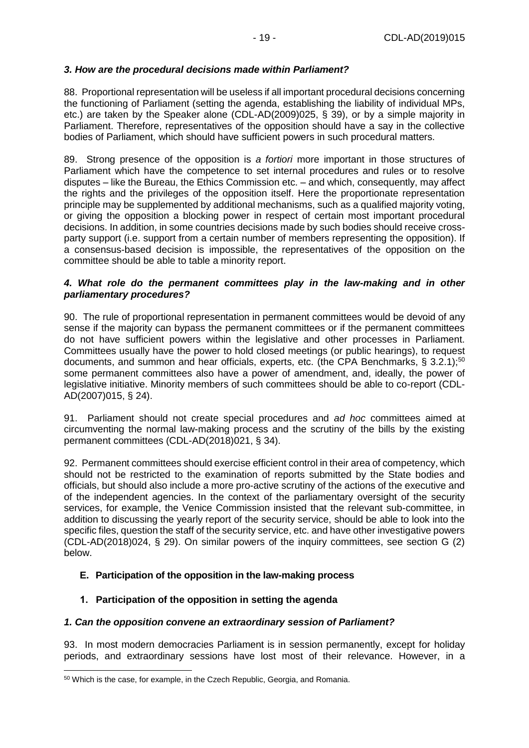## *3. How are the procedural decisions made within Parliament?*

88. Proportional representation will be useless if all important procedural decisions concerning the functioning of Parliament (setting the agenda, establishing the liability of individual MPs, etc.) are taken by the Speaker alone (CDL-AD(2009)025, § 39), or by a simple majority in Parliament. Therefore, representatives of the opposition should have a say in the collective bodies of Parliament, which should have sufficient powers in such procedural matters.

89. Strong presence of the opposition is *a fortiori* more important in those structures of Parliament which have the competence to set internal procedures and rules or to resolve disputes – like the Bureau, the Ethics Commission etc. – and which, consequently, may affect the rights and the privileges of the opposition itself. Here the proportionate representation principle may be supplemented by additional mechanisms, such as a qualified majority voting, or giving the opposition a blocking power in respect of certain most important procedural decisions. In addition, in some countries decisions made by such bodies should receive crossparty support (i.e. support from a certain number of members representing the opposition). If a consensus-based decision is impossible, the representatives of the opposition on the committee should be able to table a minority report.

#### *4. What role do the permanent committees play in the law-making and in other parliamentary procedures?*

90. The rule of proportional representation in permanent committees would be devoid of any sense if the majority can bypass the permanent committees or if the permanent committees do not have sufficient powers within the legislative and other processes in Parliament. Committees usually have the power to hold closed meetings (or public hearings), to request documents, and summon and hear officials, experts, etc. (the CPA Benchmarks,  $\S$  3.2.1);<sup>50</sup> some permanent committees also have a power of amendment, and, ideally, the power of legislative initiative. Minority members of such committees should be able to co-report (CDL-AD(2007)015, § 24).

91. Parliament should not create special procedures and *ad hoc* committees aimed at circumventing the normal law-making process and the scrutiny of the bills by the existing permanent committees (CDL-AD(2018)021, § 34).

92. Permanent committees should exercise efficient control in their area of competency, which should not be restricted to the examination of reports submitted by the State bodies and officials, but should also include a more pro-active scrutiny of the actions of the executive and of the independent agencies. In the context of the parliamentary oversight of the security services, for example, the Venice Commission insisted that the relevant sub-committee, in addition to discussing the yearly report of the security service, should be able to look into the specific files, question the staff of the security service, etc. and have other investigative powers (CDL-AD(2018)024, § 29). On similar powers of the inquiry committees, see section G (2) below.

### <span id="page-18-0"></span>**E. Participation of the opposition in the law-making process**

# <span id="page-18-1"></span>**1. Participation of the opposition in setting the agenda**

### *1. Can the opposition convene an extraordinary session of Parliament?*

93. In most modern democracies Parliament is in session permanently, except for holiday periods, and extraordinary sessions have lost most of their relevance. However, in a

<sup>50</sup> Which is the case, for example, in the Czech Republic, Georgia, and Romania.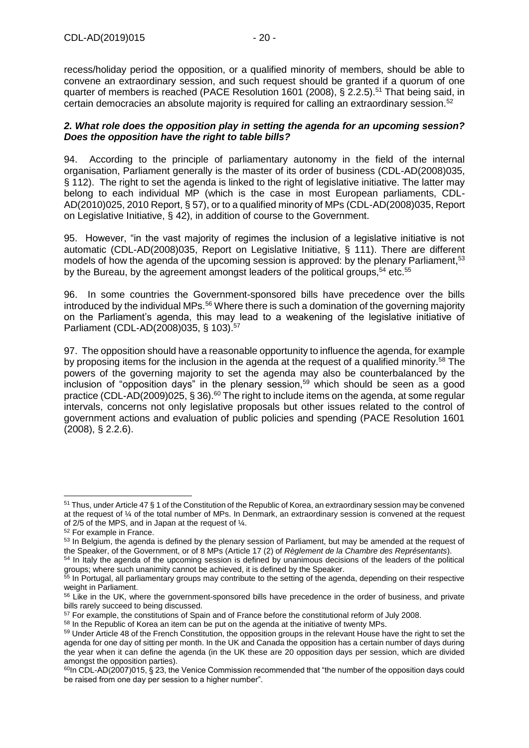recess/holiday period the opposition, or a qualified minority of members, should be able to convene an extraordinary session, and such request should be granted if a quorum of one quarter of members is reached (PACE Resolution 1601 (2008),  $\S$  2.2.5).<sup>51</sup> That being said, in certain democracies an absolute majority is required for calling an extraordinary session.<sup>52</sup>

#### *2. What role does the opposition play in setting the agenda for an upcoming session? Does the opposition have the right to table bills?*

94. According to the principle of parliamentary autonomy in the field of the internal organisation, Parliament generally is the master of its order of business (CDL-AD(2008)035, § 112). The right to set the agenda is linked to the right of legislative initiative. The latter may belong to each individual MP (which is the case in most European parliaments, CDL-AD(2010)025, 2010 Report, § 57), or to a qualified minority of MPs (CDL-AD(2008)035, Report on Legislative Initiative, § 42), in addition of course to the Government.

95. However, "in the vast majority of regimes the inclusion of a legislative initiative is not automatic (CDL-AD(2008)035, Report on Legislative Initiative, § 111). There are different models of how the agenda of the upcoming session is approved: by the plenary Parliament,<sup>53</sup> by the Bureau, by the agreement amongst leaders of the political groups,  $54$  etc.  $55$ 

96. In some countries the Government-sponsored bills have precedence over the bills introduced by the individual MPs.<sup>56</sup> Where there is such a domination of the governing majority on the Parliament's agenda, this may lead to a weakening of the legislative initiative of Parliament (CDL-AD(2008)035, § 103).<sup>57</sup>

97. The opposition should have a reasonable opportunity to influence the agenda, for example by proposing items for the inclusion in the agenda at the request of a qualified minority.<sup>58</sup> The powers of the governing majority to set the agenda may also be counterbalanced by the inclusion of "opposition days" in the plenary session,<sup>59</sup> which should be seen as a good practice (CDL-AD(2009)025, § 36).<sup>60</sup> The right to include items on the agenda, at some regular intervals, concerns not only legislative proposals but other issues related to the control of government actions and evaluation of public policies and spending (PACE Resolution 1601 (2008), § 2.2.6).

<sup>51</sup> Thus, under Article 47 § 1 of the Constitution of the Republic of Korea, an extraordinary session may be convened at the request of ¼ of the total number of MPs. In Denmark, an extraordinary session is convened at the request of 2/5 of the MPS, and in Japan at the request of ¼.

<sup>52</sup> For example in France.

<sup>&</sup>lt;sup>53</sup> In Belgium, the agenda is defined by the plenary session of Parliament, but may be amended at the request of the Speaker, of the Government, or of 8 MPs (Article 17 (2) of *Règlement de la Chambre des Représentants*).

<sup>&</sup>lt;sup>54</sup> In Italy the agenda of the upcoming session is defined by unanimous decisions of the leaders of the political groups; where such unanimity cannot be achieved, it is defined by the Speaker.

<sup>&</sup>lt;sup>55</sup> In Portugal, all parliamentary groups may contribute to the setting of the agenda, depending on their respective weight in Parliament.

<sup>&</sup>lt;sup>56</sup> Like in the UK, where the government-sponsored bills have precedence in the order of business, and private bills rarely succeed to being discussed.

<sup>&</sup>lt;sup>57</sup> For example, the constitutions of Spain and of France before the constitutional reform of July 2008.

<sup>&</sup>lt;sup>58</sup> In the Republic of Korea an item can be put on the agenda at the initiative of twenty MPs.

<sup>&</sup>lt;sup>59</sup> Under Article 48 of the French Constitution, the opposition groups in the relevant House have the right to set the agenda for one day of sitting per month. In the UK and Canada the opposition has a certain number of days during the year when it can define the agenda (in the UK these are 20 opposition days per session, which are divided amongst the opposition parties).

 $60$ In CDL-AD(2007)015, § 23, the Venice Commission recommended that "the number of the opposition days could be raised from one day per session to a higher number".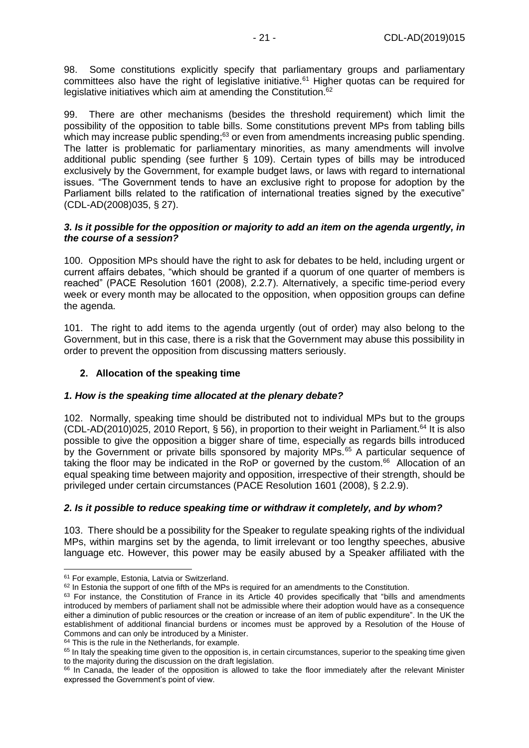98. Some constitutions explicitly specify that parliamentary groups and parliamentary committees also have the right of legislative initiative.<sup>61</sup> Higher quotas can be required for legislative initiatives which aim at amending the Constitution.<sup>62</sup>

99. There are other mechanisms (besides the threshold requirement) which limit the possibility of the opposition to table bills. Some constitutions prevent MPs from tabling bills which may increase public spending;<sup>63</sup> or even from amendments increasing public spending. The latter is problematic for parliamentary minorities, as many amendments will involve additional public spending (see further § 109). Certain types of bills may be introduced exclusively by the Government, for example budget laws, or laws with regard to international issues. "The Government tends to have an exclusive right to propose for adoption by the Parliament bills related to the ratification of international treaties signed by the executive" (CDL-AD(2008)035, § 27).

#### *3. Is it possible for the opposition or majority to add an item on the agenda urgently, in the course of a session?*

100. Opposition MPs should have the right to ask for debates to be held, including urgent or current affairs debates, "which should be granted if a quorum of one quarter of members is reached" (PACE Resolution 1601 (2008), 2.2.7). Alternatively, a specific time-period every week or every month may be allocated to the opposition, when opposition groups can define the agenda.

101. The right to add items to the agenda urgently (out of order) may also belong to the Government, but in this case, there is a risk that the Government may abuse this possibility in order to prevent the opposition from discussing matters seriously.

# <span id="page-20-0"></span>**2. Allocation of the speaking time**

### *1. How is the speaking time allocated at the plenary debate?*

102. Normally, speaking time should be distributed not to individual MPs but to the groups (CDL-AD(2010)025, 2010 Report, § 56), in proportion to their weight in Parliament.<sup>64</sup> It is also possible to give the opposition a bigger share of time, especially as regards bills introduced by the Government or private bills sponsored by majority MPs.<sup>65</sup> A particular sequence of taking the floor may be indicated in the RoP or governed by the custom.<sup>66</sup> Allocation of an equal speaking time between majority and opposition, irrespective of their strength, should be privileged under certain circumstances (PACE Resolution 1601 (2008), § 2.2.9).

### *2. Is it possible to reduce speaking time or withdraw it completely, and by whom?*

103. There should be a possibility for the Speaker to regulate speaking rights of the individual MPs, within margins set by the agenda, to limit irrelevant or too lengthy speeches, abusive language etc. However, this power may be easily abused by a Speaker affiliated with the

<sup>-</sup><sup>61</sup> For example, Estonia, Latvia or Switzerland.

 $62$  In Estonia the support of one fifth of the MPs is required for an amendments to the Constitution.

 $63$  For instance, the Constitution of France in its Article 40 provides specifically that "bills and amendments introduced by members of parliament shall not be admissible where their adoption would have as a consequence either a diminution of public resources or the creation or increase of an item of public expenditure". In the UK the establishment of additional financial burdens or incomes must be approved by a Resolution of the House of Commons and can only be introduced by a Minister.

<sup>&</sup>lt;sup>64</sup> This is the rule in the Netherlands, for example.

<sup>&</sup>lt;sup>65</sup> In Italy the speaking time given to the opposition is, in certain circumstances, superior to the speaking time given to the majority during the discussion on the draft legislation.

<sup>&</sup>lt;sup>66</sup> In Canada, the leader of the opposition is allowed to take the floor immediately after the relevant Minister expressed the Government's point of view.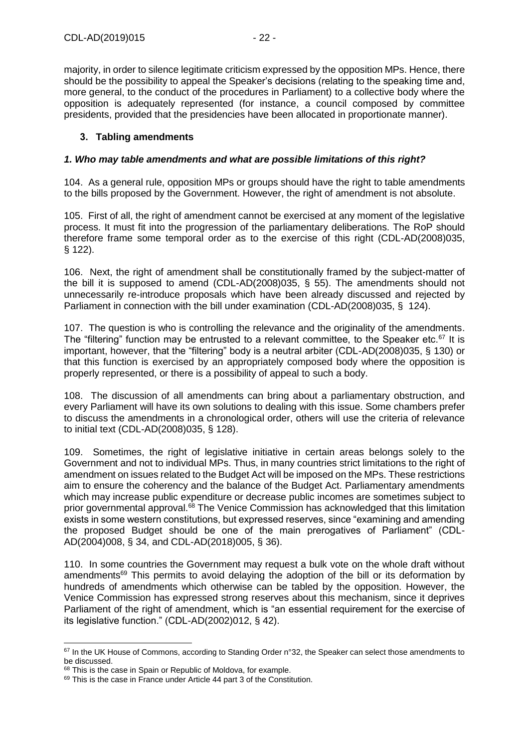majority, in order to silence legitimate criticism expressed by the opposition MPs. Hence, there should be the possibility to appeal the Speaker's decisions (relating to the speaking time and, more general, to the conduct of the procedures in Parliament) to a collective body where the opposition is adequately represented (for instance, a council composed by committee presidents, provided that the presidencies have been allocated in proportionate manner).

### <span id="page-21-0"></span>**3. Tabling amendments**

### *1. Who may table amendments and what are possible limitations of this right?*

104. As a general rule, opposition MPs or groups should have the right to table amendments to the bills proposed by the Government. However, the right of amendment is not absolute.

105. First of all, the right of amendment cannot be exercised at any moment of the legislative process. It must fit into the progression of the parliamentary deliberations. The RoP should therefore frame some temporal order as to the exercise of this right (CDL-AD(2008)035, § 122).

106. Next, the right of amendment shall be constitutionally framed by the subject-matter of the bill it is supposed to amend (CDL-AD(2008)035, § 55). The amendments should not unnecessarily re-introduce proposals which have been already discussed and rejected by Parliament in connection with the bill under examination (CDL-AD(2008)035, § 124).

107. The question is who is controlling the relevance and the originality of the amendments. The "filtering" function may be entrusted to a relevant committee, to the Speaker etc. $67$  It is important, however, that the "filtering" body is a neutral arbiter (CDL-AD(2008)035, § 130) or that this function is exercised by an appropriately composed body where the opposition is properly represented, or there is a possibility of appeal to such a body.

108. The discussion of all amendments can bring about a parliamentary obstruction, and every Parliament will have its own solutions to dealing with this issue. Some chambers prefer to discuss the amendments in a chronological order, others will use the criteria of relevance to initial text (CDL-AD(2008)035, § 128).

109. Sometimes, the right of legislative initiative in certain areas belongs solely to the Government and not to individual MPs. Thus, in many countries strict limitations to the right of amendment on issues related to the Budget Act will be imposed on the MPs. These restrictions aim to ensure the coherency and the balance of the Budget Act. Parliamentary amendments which may increase public expenditure or decrease public incomes are sometimes subject to prior governmental approval.<sup>68</sup> The Venice Commission has acknowledged that this limitation exists in some western constitutions, but expressed reserves, since "examining and amending the proposed Budget should be one of the main prerogatives of Parliament" (CDL-AD(2004)008, § 34, and CDL-AD(2018)005, § 36).

110. In some countries the Government may request a bulk vote on the whole draft without amendments<sup>69</sup> This permits to avoid delaying the adoption of the bill or its deformation by hundreds of amendments which otherwise can be tabled by the opposition. However, the Venice Commission has expressed strong reserves about this mechanism, since it deprives Parliament of the right of amendment, which is "an essential requirement for the exercise of its legislative function." (CDL-AD(2002)012, § 42).

<sup>-</sup>67 In the UK House of Commons, according to Standing Order n°32, the Speaker can select those amendments to be discussed.

<sup>&</sup>lt;sup>68</sup> This is the case in Spain or Republic of Moldova, for example.

<sup>&</sup>lt;sup>69</sup> This is the case in France under Article 44 part 3 of the Constitution.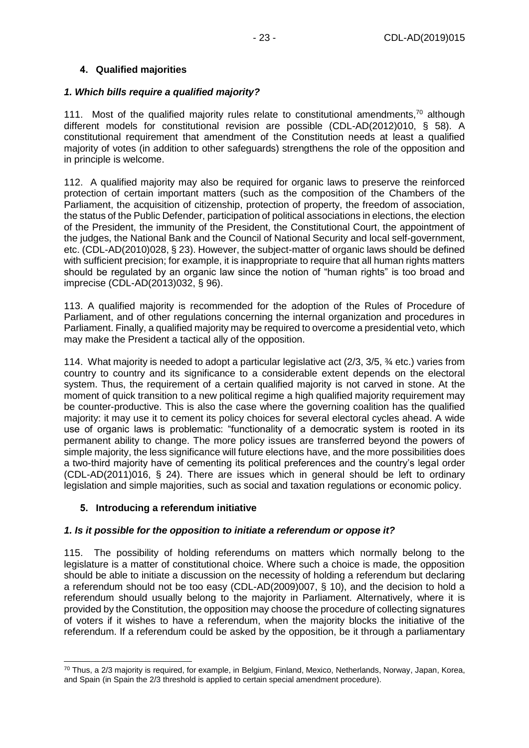### <span id="page-22-0"></span>**4. Qualified majorities**

### *1. Which bills require a qualified majority?*

111. Most of the qualified majority rules relate to constitutional amendments.<sup>70</sup> although different models for constitutional revision are possible (CDL-AD(2012)010, § 58). A constitutional requirement that amendment of the Constitution needs at least a qualified majority of votes (in addition to other safeguards) strengthens the role of the opposition and in principle is welcome.

112. A qualified majority may also be required for organic laws to preserve the reinforced protection of certain important matters (such as the composition of the Chambers of the Parliament, the acquisition of citizenship, protection of property, the freedom of association, the status of the Public Defender, participation of political associations in elections, the election of the President, the immunity of the President, the Constitutional Court, the appointment of the judges, the National Bank and the Council of National Security and local self-government, etc. (CDL-AD(2010)028, § 23). However, the subject-matter of organic laws should be defined with sufficient precision; for example, it is inappropriate to require that all human rights matters should be regulated by an organic law since the notion of "human rights" is too broad and imprecise (CDL-AD(2013)032, § 96).

113. A qualified majority is recommended for the adoption of the Rules of Procedure of Parliament, and of other regulations concerning the internal organization and procedures in Parliament. Finally, a qualified majority may be required to overcome a presidential veto, which may make the President a tactical ally of the opposition.

114. What majority is needed to adopt a particular legislative act (2/3, 3/5, ¾ etc.) varies from country to country and its significance to a considerable extent depends on the electoral system. Thus, the requirement of a certain qualified majority is not carved in stone. At the moment of quick transition to a new political regime a high qualified majority requirement may be counter-productive. This is also the case where the governing coalition has the qualified majority: it may use it to cement its policy choices for several electoral cycles ahead. A wide use of organic laws is problematic: "functionality of a democratic system is rooted in its permanent ability to change. The more policy issues are transferred beyond the powers of simple majority, the less significance will future elections have, and the more possibilities does a two-third majority have of cementing its political preferences and the country's legal order (CDL-AD(2011)016, § 24). There are issues which in general should be left to ordinary legislation and simple majorities, such as social and taxation regulations or economic policy.

### <span id="page-22-1"></span>**5. Introducing a referendum initiative**

# *1. Is it possible for the opposition to initiate a referendum or oppose it?*

115. The possibility of holding referendums on matters which normally belong to the legislature is a matter of constitutional choice. Where such a choice is made, the opposition should be able to initiate a discussion on the necessity of holding a referendum but declaring a referendum should not be too easy (CDL-AD(2009)007, § 10), and the decision to hold a referendum should usually belong to the majority in Parliament. Alternatively, where it is provided by the Constitution, the opposition may choose the procedure of collecting signatures of voters if it wishes to have a referendum, when the majority blocks the initiative of the referendum. If a referendum could be asked by the opposition, be it through a parliamentary

<sup>-</sup> $70$  Thus, a  $2/3$  majority is required, for example, in Belgium, Finland, Mexico, Netherlands, Norway, Japan, Korea, and Spain (in Spain the 2/3 threshold is applied to certain special amendment procedure).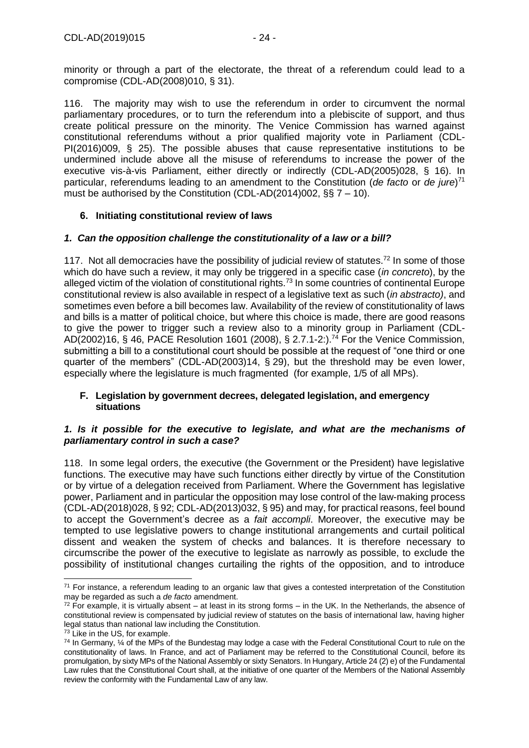minority or through a part of the electorate, the threat of a referendum could lead to a compromise (CDL-AD(2008)010, § 31).

116. The majority may wish to use the referendum in order to circumvent the normal parliamentary procedures, or to turn the referendum into a plebiscite of support, and thus create political pressure on the minority. The Venice Commission has warned against constitutional referendums without a prior qualified majority vote in Parliament (CDL-PI(2016)009, § 25). The possible abuses that cause representative institutions to be undermined include above all the misuse of referendums to increase the power of the executive vis-à-vis Parliament, either directly or indirectly (CDL-AD(2005)028, § 16). In particular, referendums leading to an amendment to the Constitution (*de facto* or *de jure*) 71 must be authorised by the Constitution (CDL-AD(2014)002,  $\S$  $\frac{5}{5}$  7 – 10).

# <span id="page-23-0"></span>**6. Initiating constitutional review of laws**

## *1. Can the opposition challenge the constitutionality of a law or a bill?*

117. Not all democracies have the possibility of judicial review of statutes.<sup>72</sup> In some of those which do have such a review, it may only be triggered in a specific case (*in concreto*), by the alleged victim of the violation of constitutional rights.<sup>73</sup> In some countries of continental Europe constitutional review is also available in respect of a legislative text as such (*in abstracto)*, and sometimes even before a bill becomes law. Availability of the review of constitutionality of laws and bills is a matter of political choice, but where this choice is made, there are good reasons to give the power to trigger such a review also to a minority group in Parliament (CDL-AD(2002)16, § 46, PACE Resolution 1601 (2008), § 2.7.1-2:).<sup>74</sup> For the Venice Commission, submitting a bill to a constitutional court should be possible at the request of "one third or one quarter of the members" (CDL-AD(2003)14, § 29), but the threshold may be even lower, especially where the legislature is much fragmented (for example, 1/5 of all MPs).

### <span id="page-23-1"></span>**F. Legislation by government decrees, delegated legislation, and emergency situations**

### *1. Is it possible for the executive to legislate, and what are the mechanisms of parliamentary control in such a case?*

118. In some legal orders, the executive (the Government or the President) have legislative functions. The executive may have such functions either directly by virtue of the Constitution or by virtue of a delegation received from Parliament. Where the Government has legislative power, Parliament and in particular the opposition may lose control of the law-making process (CDL-AD(2018)028, § 92; CDL-AD(2013)032, § 95) and may, for practical reasons, feel bound to accept the Government's decree as a *fait accompli*. Moreover, the executive may be tempted to use legislative powers to change institutional arrangements and curtail political dissent and weaken the system of checks and balances. It is therefore necessary to circumscribe the power of the executive to legislate as narrowly as possible, to exclude the possibility of institutional changes curtailing the rights of the opposition, and to introduce

<sup>-</sup> $71$  For instance, a referendum leading to an organic law that gives a contested interpretation of the Constitution may be regarded as such a *de facto* amendment.

 $72$  For example, it is virtually absent – at least in its strong forms – in the UK. In the Netherlands, the absence of constitutional review is compensated by judicial review of statutes on the basis of international law, having higher legal status than national law including the Constitution.

 $73$  Like in the US, for example.

 $74$  In Germany,  $\frac{1}{4}$  of the MPs of the Bundestag may lodge a case with the Federal Constitutional Court to rule on the constitutionality of laws. In France, and act of Parliament may be referred to the Constitutional Council, before its promulgation, by sixty MPs of the National Assembly or sixty Senators. In Hungary, Article 24 (2) e) of the Fundamental Law rules that the Constitutional Court shall, at the initiative of one quarter of the Members of the National Assembly review the conformity with the Fundamental Law of any law.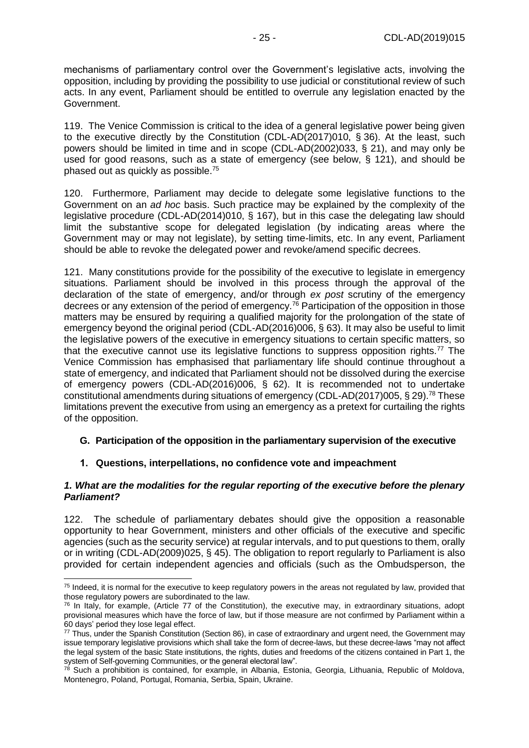mechanisms of parliamentary control over the Government's legislative acts, involving the opposition, including by providing the possibility to use judicial or constitutional review of such acts. In any event, Parliament should be entitled to overrule any legislation enacted by the Government.

119. The Venice Commission is critical to the idea of a general legislative power being given to the executive directly by the Constitution (CDL-AD(2017)010, § 36). At the least, such powers should be limited in time and in scope (CDL-AD(2002)033, § 21), and may only be used for good reasons, such as a state of emergency (see below, § 121), and should be phased out as quickly as possible.<sup>75</sup>

120. Furthermore, Parliament may decide to delegate some legislative functions to the Government on an *ad hoc* basis. Such practice may be explained by the complexity of the legislative procedure (CDL-AD(2014)010, § 167), but in this case the delegating law should limit the substantive scope for delegated legislation (by indicating areas where the Government may or may not legislate), by setting time-limits, etc. In any event, Parliament should be able to revoke the delegated power and revoke/amend specific decrees.

121. Many constitutions provide for the possibility of the executive to legislate in emergency situations. Parliament should be involved in this process through the approval of the declaration of the state of emergency, and/or through *ex post* scrutiny of the emergency decrees or any extension of the period of emergency.<sup>76</sup> Participation of the opposition in those matters may be ensured by requiring a qualified majority for the prolongation of the state of emergency beyond the original period (CDL-AD(2016)006, § 63). It may also be useful to limit the legislative powers of the executive in emergency situations to certain specific matters, so that the executive cannot use its legislative functions to suppress opposition rights.<sup>77</sup> The Venice Commission has emphasised that parliamentary life should continue throughout a state of emergency, and indicated that Parliament should not be dissolved during the exercise of emergency powers (CDL-AD(2016)006, § 62). It is recommended not to undertake constitutional amendments during situations of emergency (CDL-AD(2017)005, § 29).<sup>78</sup> These limitations prevent the executive from using an emergency as a pretext for curtailing the rights of the opposition.

# <span id="page-24-0"></span>**G. Participation of the opposition in the parliamentary supervision of the executive**

### <span id="page-24-1"></span>**1. Questions, interpellations, no confidence vote and impeachment**

#### *1. What are the modalities for the regular reporting of the executive before the plenary Parliament?*

122. The schedule of parliamentary debates should give the opposition a reasonable opportunity to hear Government, ministers and other officials of the executive and specific agencies (such as the security service) at regular intervals, and to put questions to them, orally or in writing (CDL-AD(2009)025, § 45). The obligation to report regularly to Parliament is also provided for certain independent agencies and officials (such as the Ombudsperson, the

<sup>-</sup> $75$  Indeed, it is normal for the executive to keep regulatory powers in the areas not regulated by law, provided that those regulatory powers are subordinated to the law.

 $76$  In Italy, for example, (Article 77 of the Constitution), the executive may, in extraordinary situations, adopt provisional measures which have the force of law, but if those measure are not confirmed by Parliament within a 60 days' period they lose legal effect.

<sup>77</sup> Thus, under the Spanish Constitution (Section 86), in case of extraordinary and urgent need, the Government may issue temporary legislative provisions which shall take the form of decree-laws, but these decree-laws "may not affect the legal system of the basic State institutions, the rights, duties and freedoms of the citizens contained in Part 1, the system of Self-governing Communities, or the general electoral law".

<sup>&</sup>lt;sup>78</sup> Such a prohibition is contained, for example, in Albania, Estonia, Georgia, Lithuania, Republic of Moldova, Montenegro, Poland, Portugal, Romania, Serbia, Spain, Ukraine.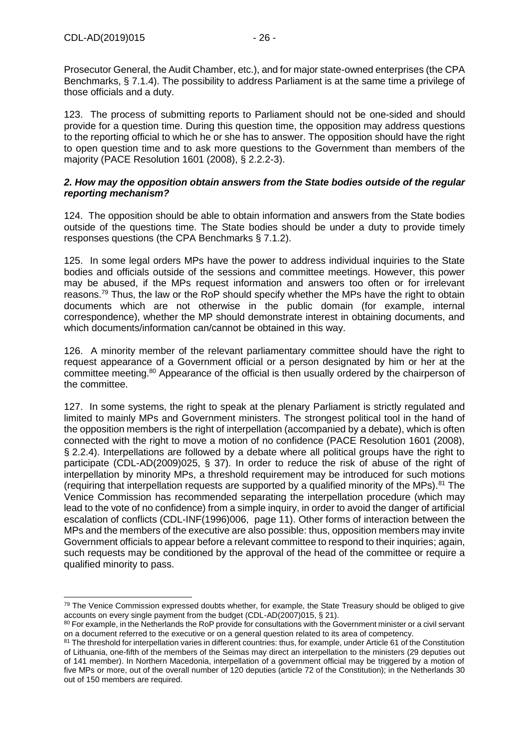-

Prosecutor General, the Audit Chamber, etc.), and for major state-owned enterprises (the CPA Benchmarks, § 7.1.4). The possibility to address Parliament is at the same time a privilege of those officials and a duty.

123. The process of submitting reports to Parliament should not be one-sided and should provide for a question time. During this question time, the opposition may address questions to the reporting official to which he or she has to answer. The opposition should have the right to open question time and to ask more questions to the Government than members of the majority (PACE Resolution 1601 (2008), § 2.2.2-3).

#### *2. How may the opposition obtain answers from the State bodies outside of the regular reporting mechanism?*

124. The opposition should be able to obtain information and answers from the State bodies outside of the questions time. The State bodies should be under a duty to provide timely responses questions (the CPA Benchmarks § 7.1.2).

125. In some legal orders MPs have the power to address individual inquiries to the State bodies and officials outside of the sessions and committee meetings. However, this power may be abused, if the MPs request information and answers too often or for irrelevant reasons.<sup>79</sup> Thus, the law or the RoP should specify whether the MPs have the right to obtain documents which are not otherwise in the public domain (for example, internal correspondence), whether the MP should demonstrate interest in obtaining documents, and which documents/information can/cannot be obtained in this way.

126. A minority member of the relevant parliamentary committee should have the right to request appearance of a Government official or a person designated by him or her at the committee meeting.<sup>80</sup> Appearance of the official is then usually ordered by the chairperson of the committee.

127. In some systems, the right to speak at the plenary Parliament is strictly regulated and limited to mainly MPs and Government ministers. The strongest political tool in the hand of the opposition members is the right of interpellation (accompanied by a debate), which is often connected with the right to move a motion of no confidence (PACE Resolution 1601 (2008), § 2.2.4). Interpellations are followed by a debate where all political groups have the right to participate (CDL-AD(2009)025, § 37). In order to reduce the risk of abuse of the right of interpellation by minority MPs, a threshold requirement may be introduced for such motions (requiring that interpellation requests are supported by a qualified minority of the MPs).<sup>81</sup> The Venice Commission has recommended separating the interpellation procedure (which may lead to the vote of no confidence) from a simple inquiry, in order to avoid the danger of artificial escalation of conflicts (CDL-INF(1996)006, page 11). Other forms of interaction between the MPs and the members of the executive are also possible: thus, opposition members may invite Government officials to appear before a relevant committee to respond to their inquiries; again, such requests may be conditioned by the approval of the head of the committee or require a qualified minority to pass.

<sup>&</sup>lt;sup>79</sup> The Venice Commission expressed doubts whether, for example, the State Treasury should be obliged to give accounts on every single payment from the budget (CDL-AD(2007)015, § 21).

<sup>80</sup> For example, in the Netherlands the RoP provide for consultations with the Government minister or a civil servant on a document referred to the executive or on a general question related to its area of competency.

<sup>81</sup> The threshold for interpellation varies in different countries: thus, for example, under Article 61 of the Constitution of Lithuania, one-fifth of the members of the Seimas may direct an interpellation to the ministers (29 deputies out of 141 member). In Northern Macedonia, interpellation of a government official may be triggered by a motion of five MPs or more, out of the overall number of 120 deputies (article 72 of the Constitution); in the Netherlands 30 out of 150 members are required.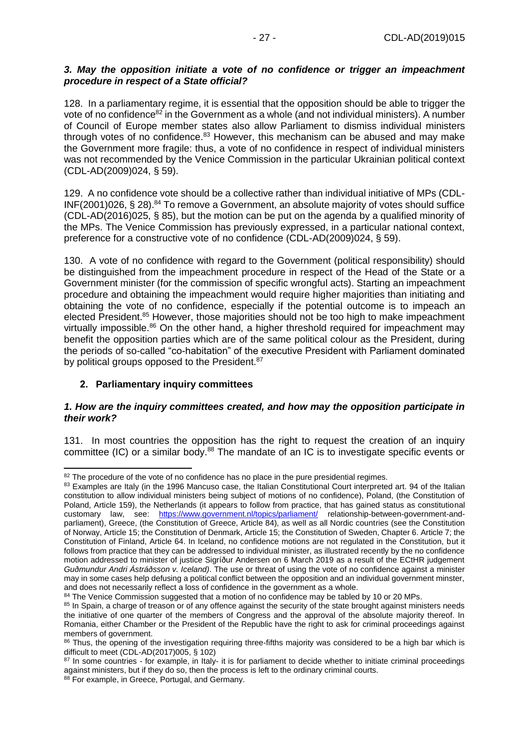### *3. May the opposition initiate a vote of no confidence or trigger an impeachment procedure in respect of a State official?*

128. In a parliamentary regime, it is essential that the opposition should be able to trigger the vote of no confidence<sup>82</sup> in the Government as a whole (and not individual ministers). A number of Council of Europe member states also allow Parliament to dismiss individual ministers through votes of no confidence.<sup>83</sup> However, this mechanism can be abused and may make the Government more fragile: thus, a vote of no confidence in respect of individual ministers was not recommended by the Venice Commission in the particular Ukrainian political context (CDL-AD(2009)024, § 59).

129. A no confidence vote should be a collective rather than individual initiative of MPs (CDL- $INF(2001)026$ , § 28).<sup>84</sup> To remove a Government, an absolute majority of votes should suffice (CDL-AD(2016)025, § 85), but the motion can be put on the agenda by a qualified minority of the MPs. The Venice Commission has previously expressed, in a particular national context, preference for a constructive vote of no confidence (CDL-AD(2009)024, § 59).

130. A vote of no confidence with regard to the Government (political responsibility) should be distinguished from the impeachment procedure in respect of the Head of the State or a Government minister (for the commission of specific wrongful acts). Starting an impeachment procedure and obtaining the impeachment would require higher majorities than initiating and obtaining the vote of no confidence, especially if the potential outcome is to impeach an elected President.<sup>85</sup> However, those majorities should not be too high to make impeachment virtually impossible.<sup>86</sup> On the other hand, a higher threshold required for impeachment may benefit the opposition parties which are of the same political colour as the President, during the periods of so-called "co-habitation" of the executive President with Parliament dominated by political groups opposed to the President.<sup>87</sup>

# <span id="page-26-0"></span>**2. Parliamentary inquiry committees**

#### *1. How are the inquiry committees created, and how may the opposition participate in their work?*

131. In most countries the opposition has the right to request the creation of an inquiry committee (IC) or a similar body.<sup>88</sup> The mandate of an IC is to investigate specific events or

<sup>-</sup><sup>82</sup> The procedure of the vote of no confidence has no place in the pure presidential regimes.

<sup>&</sup>lt;sup>83</sup> Examples are Italy (in the 1996 Mancuso case, the Italian Constitutional Court interpreted art. 94 of the Italian constitution to allow individual ministers being subject of motions of no confidence), Poland, (the Constitution of Poland, Article 159), the Netherlands (it appears to follow from practice, that has gained status as constitutional customary law, see: <https://www.government.nl/topics/parliament/> relationship-between-government-andparliament), Greece, (the Constitution of Greece, Article 84), as well as all Nordic countries (see the Constitution of Norway, Article 15; the Constitution of Denmark, Article 15; the Constitution of Sweden, Chapter 6. Article 7; the Constitution of Finland, Article 64. In Iceland, no confidence motions are not regulated in the Constitution, but it follows from practice that they can be addressed to individual minister, as illustrated recently by the no confidence motion addressed to minister of justice Sigríður Andersen on 6 March 2019 as a result of the ECtHR judgement *Guðmundur Andri Ástráðsson v. Iceland)*. The use or threat of using the vote of no confidence against a minister may in some cases help defusing a political conflict between the opposition and an individual government minster, and does not necessarily reflect a loss of confidence in the government as a whole.

<sup>84</sup> The Venice Commission suggested that a motion of no confidence may be tabled by 10 or 20 MPs.

<sup>&</sup>lt;sup>85</sup> In Spain, a charge of treason or of any offence against the security of the state brought against ministers needs the initiative of one quarter of the members of Congress and the approval of the absolute majority thereof. In Romania, either Chamber or the President of the Republic have the right to ask for criminal proceedings against members of government.

<sup>86</sup> Thus, the opening of the investigation requiring three-fifths majority was considered to be a high bar which is difficult to meet (CDL-AD(2017)005, § 102)

<sup>&</sup>lt;sup>87</sup> In some countries - for example, in Italy- it is for parliament to decide whether to initiate criminal proceedings against ministers, but if they do so, then the process is left to the ordinary criminal courts.

<sup>88</sup> For example, in Greece, Portugal, and Germany.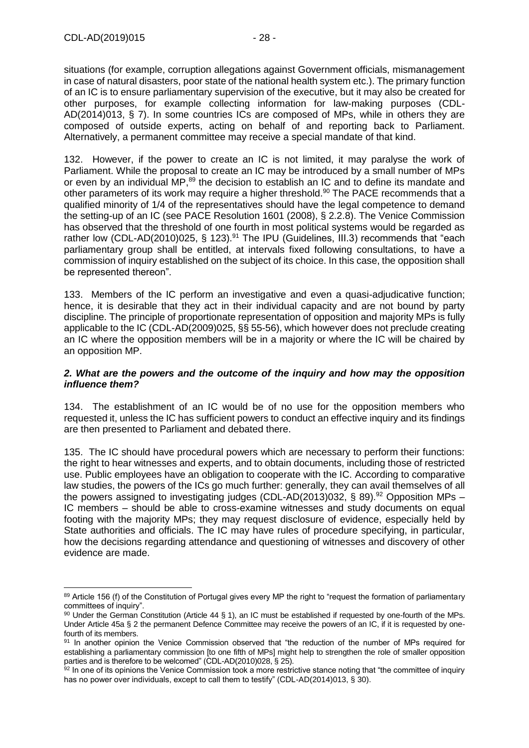situations (for example, corruption allegations against Government officials, mismanagement in case of natural disasters, poor state of the national health system etc.). The primary function of an IC is to ensure parliamentary supervision of the executive, but it may also be created for other purposes, for example collecting information for law-making purposes (CDL-AD(2014)013, § 7). In some countries ICs are composed of MPs, while in others they are composed of outside experts, acting on behalf of and reporting back to Parliament. Alternatively, a permanent committee may receive a special mandate of that kind.

132. However, if the power to create an IC is not limited, it may paralyse the work of Parliament. While the proposal to create an IC may be introduced by a small number of MPs or even by an individual MP,<sup>89</sup> the decision to establish an IC and to define its mandate and other parameters of its work may require a higher threshold.<sup>90</sup> The PACE recommends that a qualified minority of 1/4 of the representatives should have the legal competence to demand the setting-up of an IC (see PACE Resolution 1601 (2008), § 2.2.8). The Venice Commission has observed that the threshold of one fourth in most political systems would be regarded as rather low (CDL-AD(2010)025, § 123).<sup>91</sup> The IPU (Guidelines, III.3) recommends that "each parliamentary group shall be entitled, at intervals fixed following consultations, to have a commission of inquiry established on the subject of its choice. In this case, the opposition shall be represented thereon".

133. Members of the IC perform an investigative and even a quasi-adjudicative function; hence, it is desirable that they act in their individual capacity and are not bound by party discipline. The principle of proportionate representation of opposition and majority MPs is fully applicable to the IC (CDL-AD(2009)025, §§ 55-56), which however does not preclude creating an IC where the opposition members will be in a majority or where the IC will be chaired by an opposition MP.

#### *2. What are the powers and the outcome of the inquiry and how may the opposition influence them?*

134. The establishment of an IC would be of no use for the opposition members who requested it, unless the IC has sufficient powers to conduct an effective inquiry and its findings are then presented to Parliament and debated there.

135. The IC should have procedural powers which are necessary to perform their functions: the right to hear witnesses and experts, and to obtain documents, including those of restricted use. Public employees have an obligation to cooperate with the IC. According to comparative law studies, the powers of the ICs go much further: generally, they can avail themselves of all the powers assigned to investigating judges (CDL-AD(2013)032, § 89).<sup>92</sup> Opposition MPs – IC members – should be able to cross-examine witnesses and study documents on equal footing with the majority MPs; they may request disclosure of evidence, especially held by State authorities and officials. The IC may have rules of procedure specifying, in particular, how the decisions regarding attendance and questioning of witnesses and discovery of other evidence are made.

<sup>-</sup>89 Article 156 (f) of the Constitution of Portugal gives every MP the right to "request the formation of parliamentary committees of inquiry".

<sup>90</sup> Under the German Constitution (Article 44 § 1), an IC must be established if requested by one-fourth of the MPs. Under Article 45a § 2 the permanent Defence Committee may receive the powers of an IC, if it is requested by onefourth of its members.

<sup>91</sup> In another opinion the Venice Commission observed that "the reduction of the number of MPs required for establishing a parliamentary commission [to one fifth of MPs] might help to strengthen the role of smaller opposition parties and is therefore to be welcomed" (CDL-AD(2010)028, § 25).

<sup>92</sup> In one of its opinions the Venice Commission took a more restrictive stance noting that "the committee of inquiry has no power over individuals, except to call them to testify" (CDL-AD(2014)013, § 30).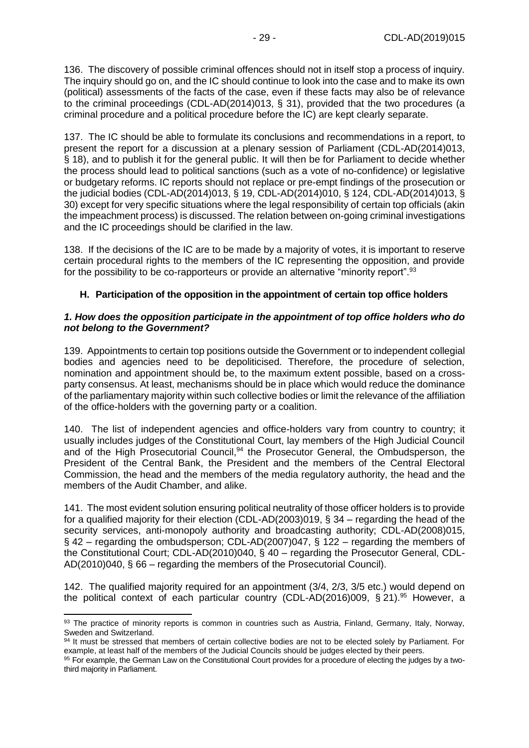136. The discovery of possible criminal offences should not in itself stop a process of inquiry. The inquiry should go on, and the IC should continue to look into the case and to make its own (political) assessments of the facts of the case, even if these facts may also be of relevance to the criminal proceedings (CDL-AD(2014)013, § 31), provided that the two procedures (a criminal procedure and a political procedure before the IC) are kept clearly separate.

137. The IC should be able to formulate its conclusions and recommendations in a report, to present the report for a discussion at a plenary session of Parliament (CDL-AD(2014)013, § 18), and to publish it for the general public. It will then be for Parliament to decide whether the process should lead to political sanctions (such as a vote of no-confidence) or legislative or budgetary reforms. IC reports should not replace or pre-empt findings of the prosecution or the judicial bodies (CDL-AD(2014)013, § 19, CDL-AD(2014)010, § 124, CDL-AD(2014)013, § 30) except for very specific situations where the legal responsibility of certain top officials (akin the impeachment process) is discussed. The relation between on-going criminal investigations and the IC proceedings should be clarified in the law.

138. If the decisions of the IC are to be made by a majority of votes, it is important to reserve certain procedural rights to the members of the IC representing the opposition, and provide for the possibility to be co-rapporteurs or provide an alternative "minority report".<sup>93</sup>

# <span id="page-28-0"></span>**H. Participation of the opposition in the appointment of certain top office holders**

#### *1. How does the opposition participate in the appointment of top office holders who do not belong to the Government?*

139. Appointments to certain top positions outside the Government or to independent collegial bodies and agencies need to be depoliticised. Therefore, the procedure of selection, nomination and appointment should be, to the maximum extent possible, based on a crossparty consensus. At least, mechanisms should be in place which would reduce the dominance of the parliamentary majority within such collective bodies or limit the relevance of the affiliation of the office-holders with the governing party or a coalition.

140. The list of independent agencies and office-holders vary from country to country; it usually includes judges of the Constitutional Court, lay members of the High Judicial Council and of the High Prosecutorial Council,<sup>94</sup> the Prosecutor General, the Ombudsperson, the President of the Central Bank, the President and the members of the Central Electoral Commission, the head and the members of the media regulatory authority, the head and the members of the Audit Chamber, and alike.

141. The most evident solution ensuring political neutrality of those officer holders is to provide for a qualified majority for their election (CDL-AD(2003)019, § 34 – regarding the head of the security services, anti-monopoly authority and broadcasting authority; CDL-AD(2008)015, § 42 – regarding the ombudsperson; CDL-AD(2007)047, § 122 – regarding the members of the Constitutional Court; CDL-AD(2010)040, § 40 – regarding the Prosecutor General, CDL-AD(2010)040, § 66 – regarding the members of the Prosecutorial Council).

142. The qualified majority required for an appointment (3/4, 2/3, 3/5 etc.) would depend on the political context of each particular country (CDL-AD(2016)009, § 21).<sup>95</sup> However, a

<sup>93</sup> The practice of minority reports is common in countries such as Austria, Finland, Germany, Italy, Norway, Sweden and Switzerland.

<sup>94</sup> It must be stressed that members of certain collective bodies are not to be elected solely by Parliament. For example, at least half of the members of the Judicial Councils should be judges elected by their peers.

<sup>95</sup> For example, the German Law on the Constitutional Court provides for a procedure of electing the judges by a twothird majority in Parliament.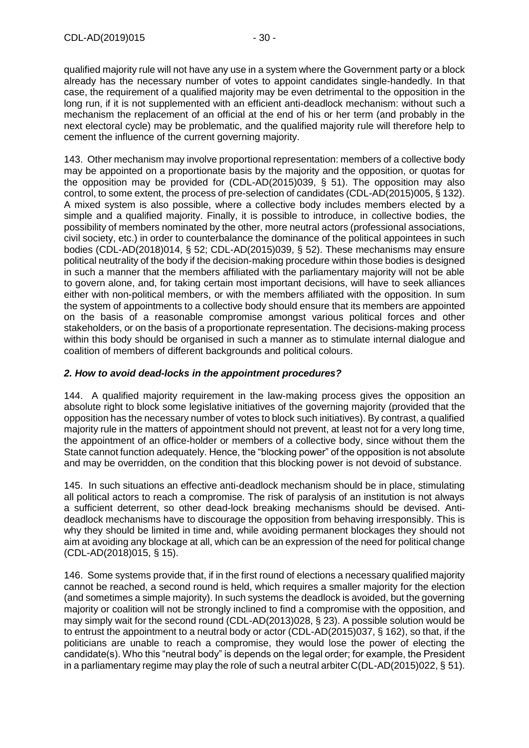qualified majority rule will not have any use in a system where the Government party or a block already has the necessary number of votes to appoint candidates single-handedly. In that case, the requirement of a qualified majority may be even detrimental to the opposition in the long run, if it is not supplemented with an efficient anti-deadlock mechanism: without such a mechanism the replacement of an official at the end of his or her term (and probably in the next electoral cycle) may be problematic, and the qualified majority rule will therefore help to cement the influence of the current governing majority.

143. Other mechanism may involve proportional representation: members of a collective body may be appointed on a proportionate basis by the majority and the opposition, or quotas for the opposition may be provided for (CDL-AD(2015)039, § 51). The opposition may also control, to some extent, the process of pre-selection of candidates (CDL-AD(2015)005, § 132). A mixed system is also possible, where a collective body includes members elected by a simple and a qualified majority. Finally, it is possible to introduce, in collective bodies, the possibility of members nominated by the other, more neutral actors (professional associations, civil society, etc.) in order to counterbalance the dominance of the political appointees in such bodies (CDL-AD(2018)014, § 52; CDL-AD(2015)039, § 52). These mechanisms may ensure political neutrality of the body if the decision-making procedure within those bodies is designed in such a manner that the members affiliated with the parliamentary majority will not be able to govern alone, and, for taking certain most important decisions, will have to seek alliances either with non-political members, or with the members affiliated with the opposition. In sum the system of appointments to a collective body should ensure that its members are appointed on the basis of a reasonable compromise amongst various political forces and other stakeholders, or on the basis of a proportionate representation. The decisions-making process within this body should be organised in such a manner as to stimulate internal dialogue and coalition of members of different backgrounds and political colours.

## *2. How to avoid dead-locks in the appointment procedures?*

144. A qualified majority requirement in the law-making process gives the opposition an absolute right to block some legislative initiatives of the governing majority (provided that the opposition has the necessary number of votes to block such initiatives). By contrast, a qualified majority rule in the matters of appointment should not prevent, at least not for a very long time, the appointment of an office-holder or members of a collective body, since without them the State cannot function adequately. Hence, the "blocking power" of the opposition is not absolute and may be overridden, on the condition that this blocking power is not devoid of substance.

145. In such situations an effective anti-deadlock mechanism should be in place, stimulating all political actors to reach a compromise. The risk of paralysis of an institution is not always a sufficient deterrent, so other dead-lock breaking mechanisms should be devised. Antideadlock mechanisms have to discourage the opposition from behaving irresponsibly. This is why they should be limited in time and, while avoiding permanent blockages they should not aim at avoiding any blockage at all, which can be an expression of the need for political change (CDL-AD(2018)015, § 15).

146. Some systems provide that, if in the first round of elections a necessary qualified majority cannot be reached, a second round is held, which requires a smaller majority for the election (and sometimes a simple majority). In such systems the deadlock is avoided, but the governing majority or coalition will not be strongly inclined to find a compromise with the opposition, and may simply wait for the second round (CDL-AD(2013)028, § 23). A possible solution would be to entrust the appointment to a neutral body or actor (CDL-AD(2015)037, § 162), so that, if the politicians are unable to reach a compromise, they would lose the power of electing the candidate(s). Who this "neutral body" is depends on the legal order; for example, the President in a parliamentary regime may play the role of such a neutral arbiter  $C(DL-AD(2015)022, \S 51)$ .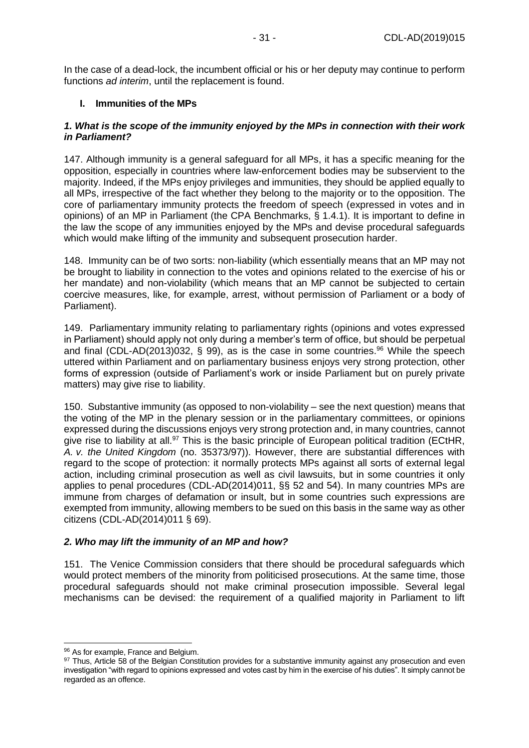In the case of a dead-lock, the incumbent official or his or her deputy may continue to perform functions *ad interim*, until the replacement is found.

### <span id="page-30-0"></span>**I. Immunities of the MPs**

#### *1. What is the scope of the immunity enjoyed by the MPs in connection with their work in Parliament?*

147. Although immunity is a general safeguard for all MPs, it has a specific meaning for the opposition, especially in countries where law-enforcement bodies may be subservient to the majority. Indeed, if the MPs enjoy privileges and immunities, they should be applied equally to all MPs, irrespective of the fact whether they belong to the majority or to the opposition. The core of parliamentary immunity protects the freedom of speech (expressed in votes and in opinions) of an MP in Parliament (the CPA Benchmarks, § 1.4.1). It is important to define in the law the scope of any immunities enjoyed by the MPs and devise procedural safeguards which would make lifting of the immunity and subsequent prosecution harder.

148. Immunity can be of two sorts: non-liability (which essentially means that an MP may not be brought to liability in connection to the votes and opinions related to the exercise of his or her mandate) and non-violability (which means that an MP cannot be subjected to certain coercive measures, like, for example, arrest, without permission of Parliament or a body of Parliament).

149. Parliamentary immunity relating to parliamentary rights (opinions and votes expressed in Parliament) should apply not only during a member's term of office, but should be perpetual and final (CDL-AD(2013)032, § 99), as is the case in some countries.<sup>96</sup> While the speech uttered within Parliament and on parliamentary business enjoys very strong protection, other forms of expression (outside of Parliament's work or inside Parliament but on purely private matters) may give rise to liability.

150. Substantive immunity (as opposed to non-violability – see the next question) means that the voting of the MP in the plenary session or in the parliamentary committees, or opinions expressed during the discussions enjoys very strong protection and, in many countries, cannot give rise to liability at all.<sup>97</sup> This is the basic principle of European political tradition (ECtHR, *A. v. the United Kingdom* (no. 35373/97)). However, there are substantial differences with regard to the scope of protection: it normally protects MPs against all sorts of external legal action, including criminal prosecution as well as civil lawsuits, but in some countries it only applies to penal procedures (CDL-AD(2014)011, §§ 52 and 54). In many countries MPs are immune from charges of defamation or insult, but in some countries such expressions are exempted from immunity, allowing members to be sued on this basis in the same way as other citizens (CDL-AD(2014)011 § 69).

### *2. Who may lift the immunity of an MP and how?*

151. The Venice Commission considers that there should be procedural safeguards which would protect members of the minority from politicised prosecutions. At the same time, those procedural safeguards should not make criminal prosecution impossible. Several legal mechanisms can be devised: the requirement of a qualified majority in Parliament to lift

<sup>-</sup>96 As for example, France and Belgium.

<sup>97</sup> Thus, Article 58 of the Belgian Constitution provides for a substantive immunity against any prosecution and even investigation "with regard to opinions expressed and votes cast by him in the exercise of his duties". It simply cannot be regarded as an offence.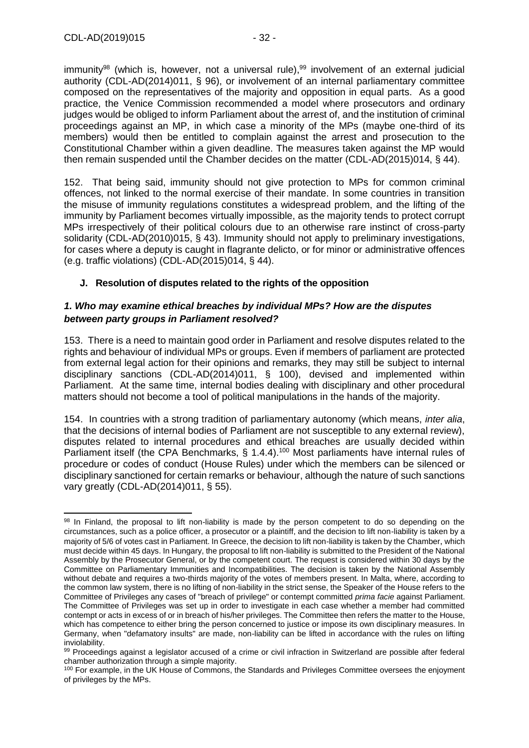$immunity<sup>98</sup>$  (which is, however, not a universal rule), $99$  involvement of an external judicial authority (CDL-AD(2014)011, § 96), or involvement of an internal parliamentary committee composed on the representatives of the majority and opposition in equal parts. As a good practice, the Venice Commission recommended a model where prosecutors and ordinary judges would be obliged to inform Parliament about the arrest of, and the institution of criminal proceedings against an MP, in which case a minority of the MPs (maybe one-third of its members) would then be entitled to complain against the arrest and prosecution to the Constitutional Chamber within a given deadline. The measures taken against the MP would then remain suspended until the Chamber decides on the matter (CDL-AD(2015)014, § 44).

152. That being said, immunity should not give protection to MPs for common criminal offences, not linked to the normal exercise of their mandate. In some countries in transition the misuse of immunity regulations constitutes a widespread problem, and the lifting of the immunity by Parliament becomes virtually impossible, as the majority tends to protect corrupt MPs irrespectively of their political colours due to an otherwise rare instinct of cross-party solidarity (CDL-AD(2010)015, § 43). Immunity should not apply to preliminary investigations, for cases where a deputy is caught in flagrante delicto, or for minor or administrative offences (e.g. traffic violations) (CDL-AD(2015)014, § 44).

### <span id="page-31-0"></span>**J. Resolution of disputes related to the rights of the opposition**

### *1. Who may examine ethical breaches by individual MPs? How are the disputes between party groups in Parliament resolved?*

153. There is a need to maintain good order in Parliament and resolve disputes related to the rights and behaviour of individual MPs or groups. Even if members of parliament are protected from external legal action for their opinions and remarks, they may still be subject to internal disciplinary sanctions (CDL-AD(2014)011, § 100), devised and implemented within Parliament. At the same time, internal bodies dealing with disciplinary and other procedural matters should not become a tool of political manipulations in the hands of the majority.

154. In countries with a strong tradition of parliamentary autonomy (which means, *inter alia*, that the decisions of internal bodies of Parliament are not susceptible to any external review), disputes related to internal procedures and ethical breaches are usually decided within Parliament itself (the CPA Benchmarks, § 1.4.4).<sup>100</sup> Most parliaments have internal rules of procedure or codes of conduct (House Rules) under which the members can be silenced or disciplinary sanctioned for certain remarks or behaviour, although the nature of such sanctions vary greatly (CDL-AD(2014)011, § 55).

<sup>-</sup>98 In Finland, the proposal to lift non-liability is made by the person competent to do so depending on the circumstances, such as a police officer, a prosecutor or a plaintiff, and the decision to lift non-liability is taken by a majority of 5/6 of votes cast in Parliament. In Greece, the decision to lift non-liability is taken by the Chamber, which must decide within 45 days. In Hungary, the proposal to lift non-liability is submitted to the President of the National Assembly by the Prosecutor General, or by the competent court. The request is considered within 30 days by the Committee on Parliamentary Immunities and Incompatibilities. The decision is taken by the National Assembly without debate and requires a two-thirds majority of the votes of members present. In Malta, where, according to the common law system, there is no lifting of non-liability in the strict sense, the Speaker of the House refers to the Committee of Privileges any cases of "breach of privilege" or contempt committed *prima facie* against Parliament. The Committee of Privileges was set up in order to investigate in each case whether a member had committed contempt or acts in excess of or in breach of his/her privileges. The Committee then refers the matter to the House, which has competence to either bring the person concerned to justice or impose its own disciplinary measures. In Germany, when "defamatory insults" are made, non-liability can be lifted in accordance with the rules on lifting inviolability.

<sup>99</sup> Proceedings against a legislator accused of a crime or civil infraction in Switzerland are possible after federal chamber authorization through a simple majority.

<sup>100</sup> For example, in the UK House of Commons, the Standards and Privileges Committee oversees the enjoyment of privileges by the MPs.